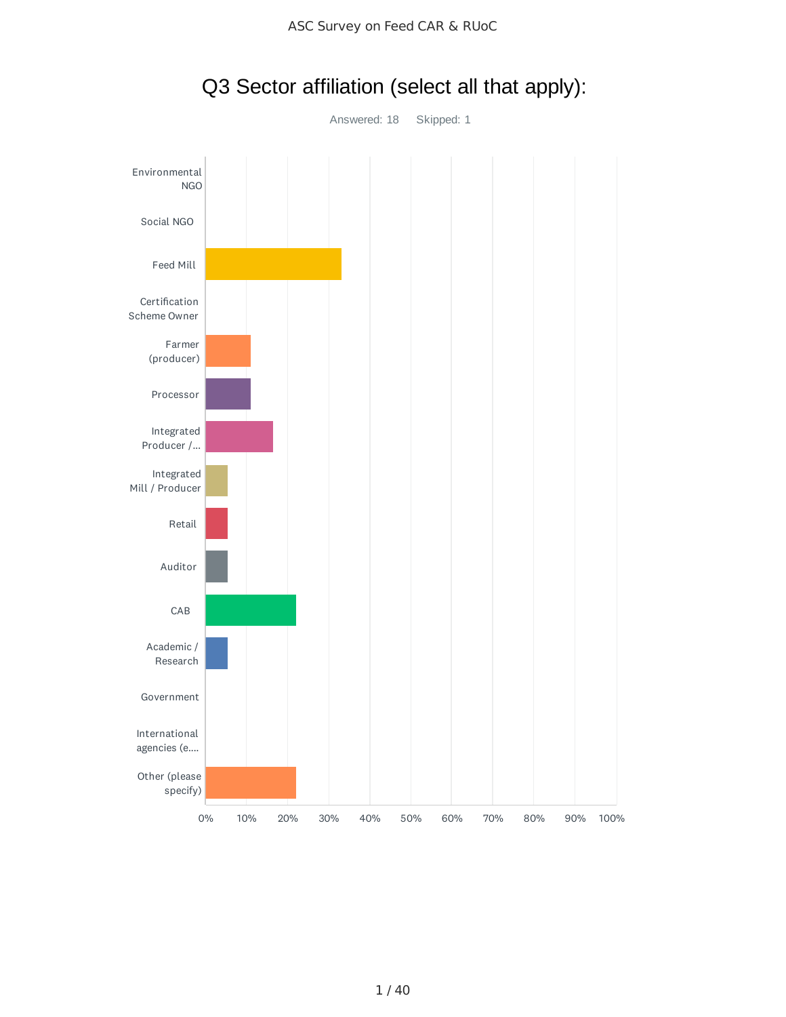

### Q3 Sector affiliation (select all that apply):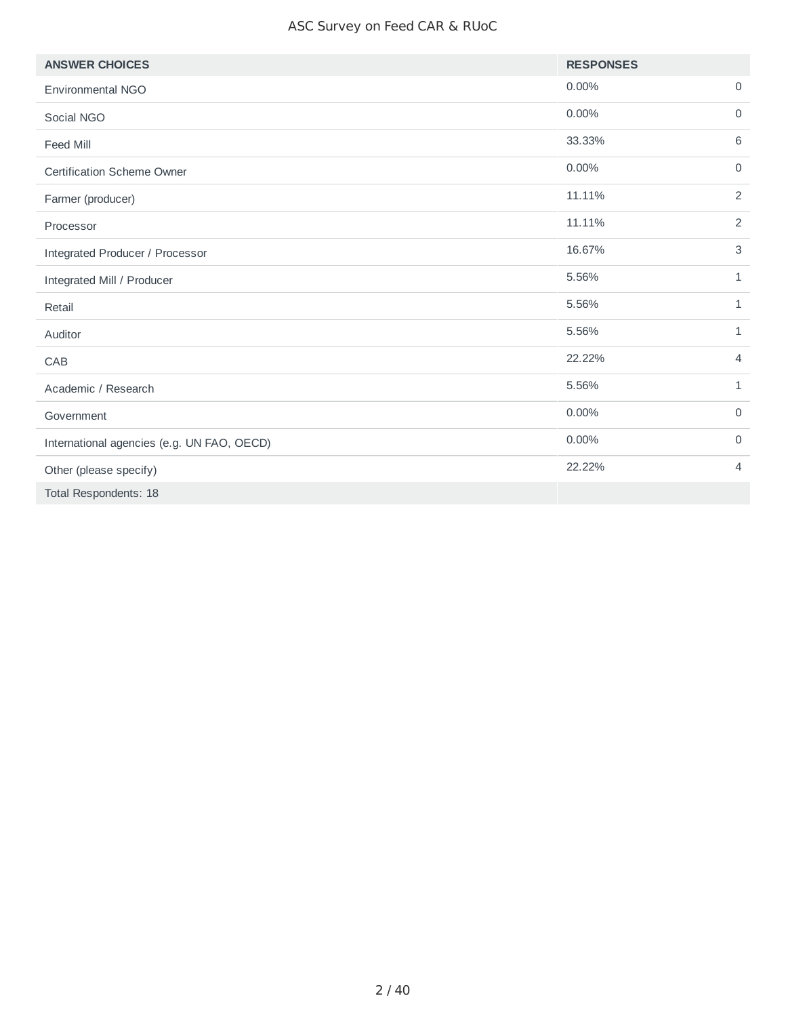#### ASC Survey on Feed CAR & RUoC

| <b>ANSWER CHOICES</b>                      | <b>RESPONSES</b> |                 |
|--------------------------------------------|------------------|-----------------|
| Environmental NGO                          | 0.00%            | $\mathsf O$     |
| Social NGO                                 | 0.00%            | $\mathbf 0$     |
| Feed Mill                                  | 33.33%           | $6\phantom{1}6$ |
| <b>Certification Scheme Owner</b>          | 0.00%            | $\mathbf 0$     |
| Farmer (producer)                          | 11.11%           | $\overline{2}$  |
| Processor                                  | 11.11%           | 2               |
| Integrated Producer / Processor            | 16.67%           | $\sqrt{3}$      |
| Integrated Mill / Producer                 | 5.56%            | $\mathbf{1}$    |
| Retail                                     | 5.56%            | $\mathbf{1}$    |
| Auditor                                    | 5.56%            | $\mathbf{1}$    |
| CAB                                        | 22.22%           | $\overline{4}$  |
| Academic / Research                        | 5.56%            | $\mathbf{1}$    |
| Government                                 | 0.00%            | $\mathsf{O}$    |
| International agencies (e.g. UN FAO, OECD) | 0.00%            | $\mathbf 0$     |
| Other (please specify)                     | 22.22%           | 4               |
| Total Respondents: 18                      |                  |                 |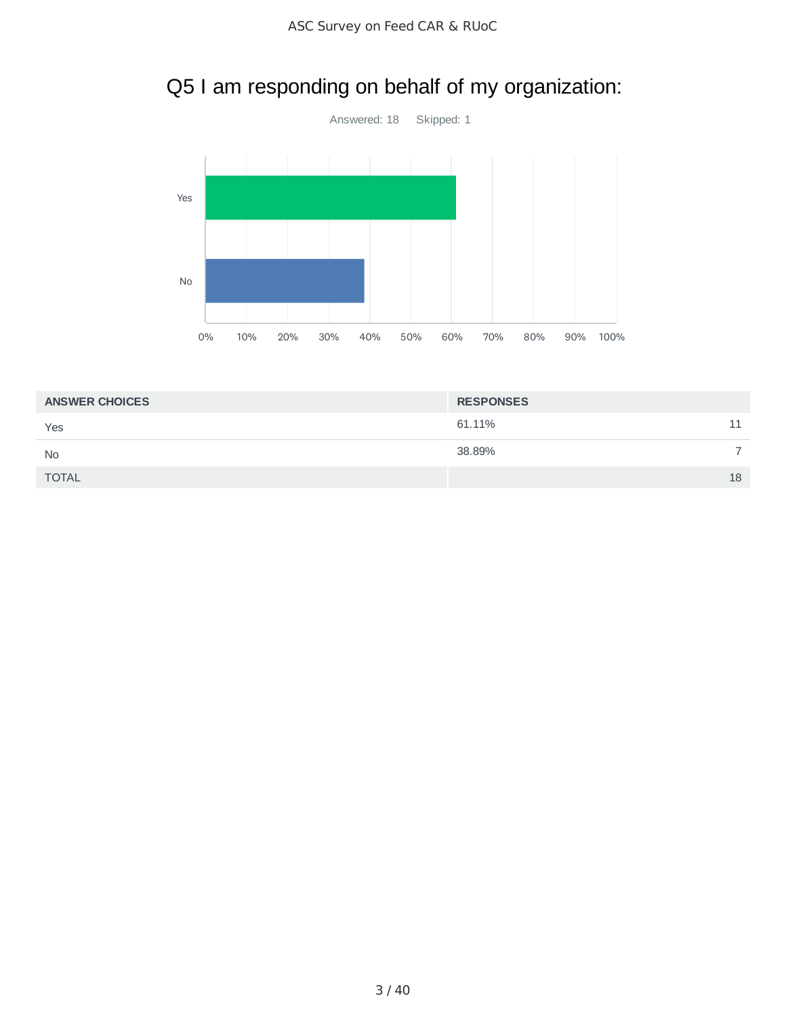# Q5 I am responding on behalf of my organization:



| <b>ANSWER CHOICES</b> | <b>RESPONSES</b> |    |
|-----------------------|------------------|----|
| Yes                   | 61.11%           | 11 |
| <b>No</b>             | 38.89%           | -  |
| <b>TOTAL</b>          |                  | 18 |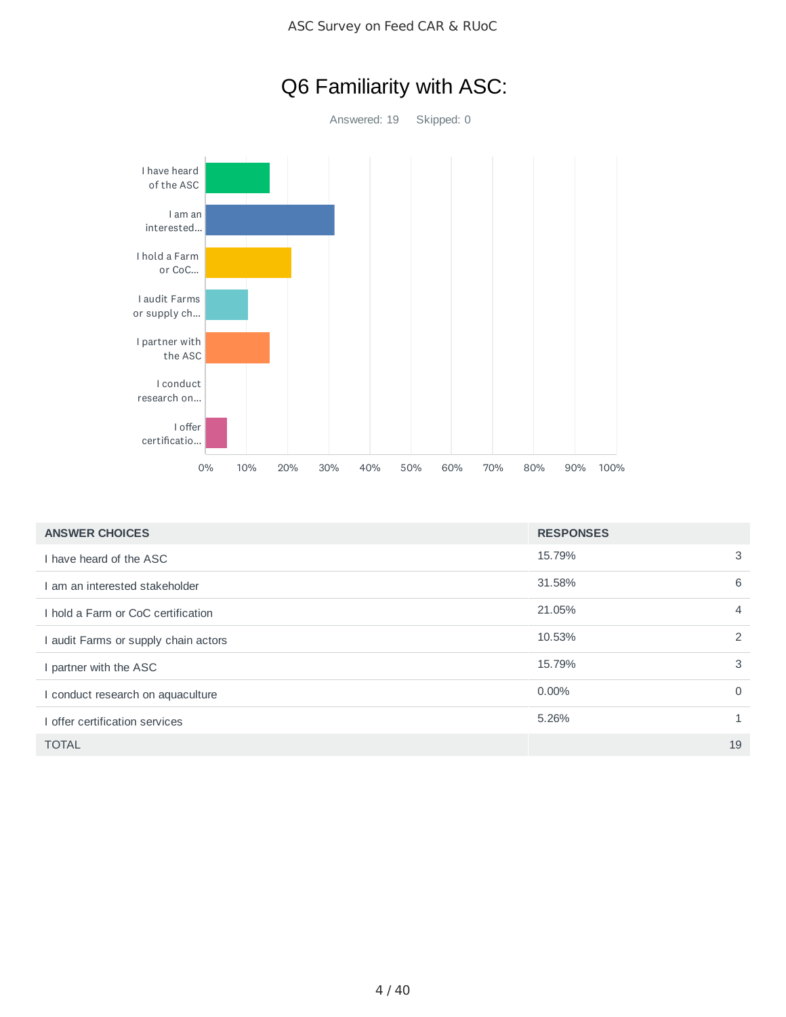



| <b>ANSWER CHOICES</b>                | <b>RESPONSES</b> |                |
|--------------------------------------|------------------|----------------|
| I have heard of the ASC              | 15.79%           | 3              |
| I am an interested stakeholder       | 31.58%           | 6              |
| I hold a Farm or CoC certification   | 21.05%           | $\overline{4}$ |
| I audit Farms or supply chain actors | 10.53%           | 2              |
| I partner with the ASC               | 15.79%           | 3              |
| I conduct research on aquaculture    | 0.00%            | $\Omega$       |
| I offer certification services       | 5.26%            | $\mathbf{1}$   |
| <b>TOTAL</b>                         |                  | 19             |

# Q6 Familiarity with ASC: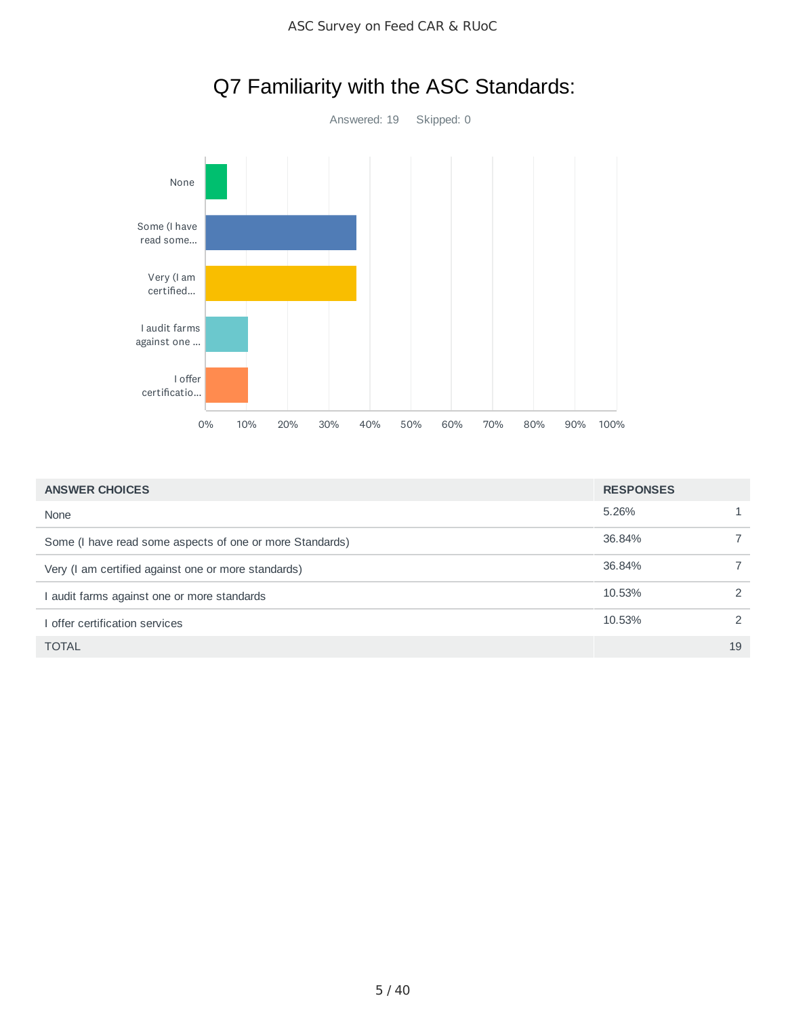

# Q7 Familiarity with the ASC Standards:

| <b>ANSWER CHOICES</b>                                    | <b>RESPONSES</b> |    |
|----------------------------------------------------------|------------------|----|
| None                                                     | 5.26%            |    |
| Some (I have read some aspects of one or more Standards) | 36.84%           |    |
| Very (I am certified against one or more standards)      | 36.84%           |    |
| I audit farms against one or more standards              | 10.53%           | 2  |
| I offer certification services                           | 10.53%           | 2  |
| <b>TOTAL</b>                                             |                  | 19 |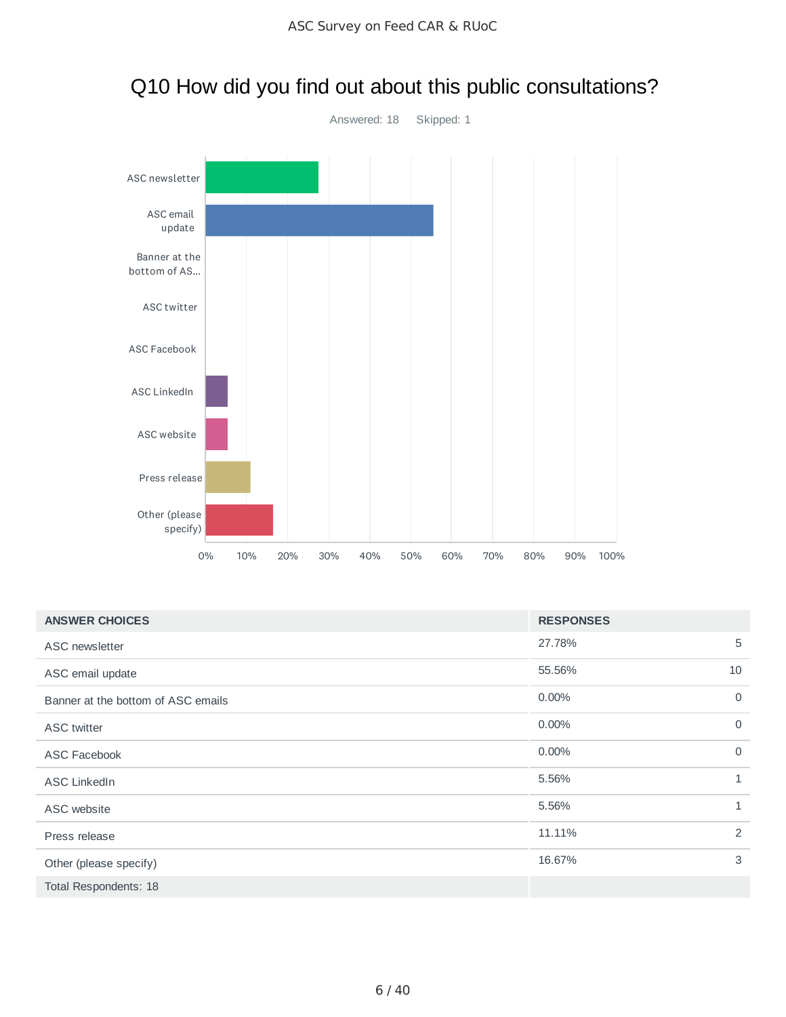

# Q10 How did you find out about this public consultations?

| <b>ANSWER CHOICES</b>              | <b>RESPONSES</b> |              |
|------------------------------------|------------------|--------------|
| ASC newsletter                     | 27.78%           | 5            |
| ASC email update                   | 55.56%           | 10           |
| Banner at the bottom of ASC emails | 0.00%            | $\mathbf 0$  |
| <b>ASC</b> twitter                 | 0.00%            | $\mathbf 0$  |
| <b>ASC Facebook</b>                | $0.00\%$         | $\mathbf 0$  |
| <b>ASC LinkedIn</b>                | 5.56%            | $\mathbf{1}$ |
| ASC website                        | 5.56%            | $\mathbf{1}$ |
| Press release                      | 11.11%           | 2            |
| Other (please specify)             | 16.67%           | 3            |
| Total Respondents: 18              |                  |              |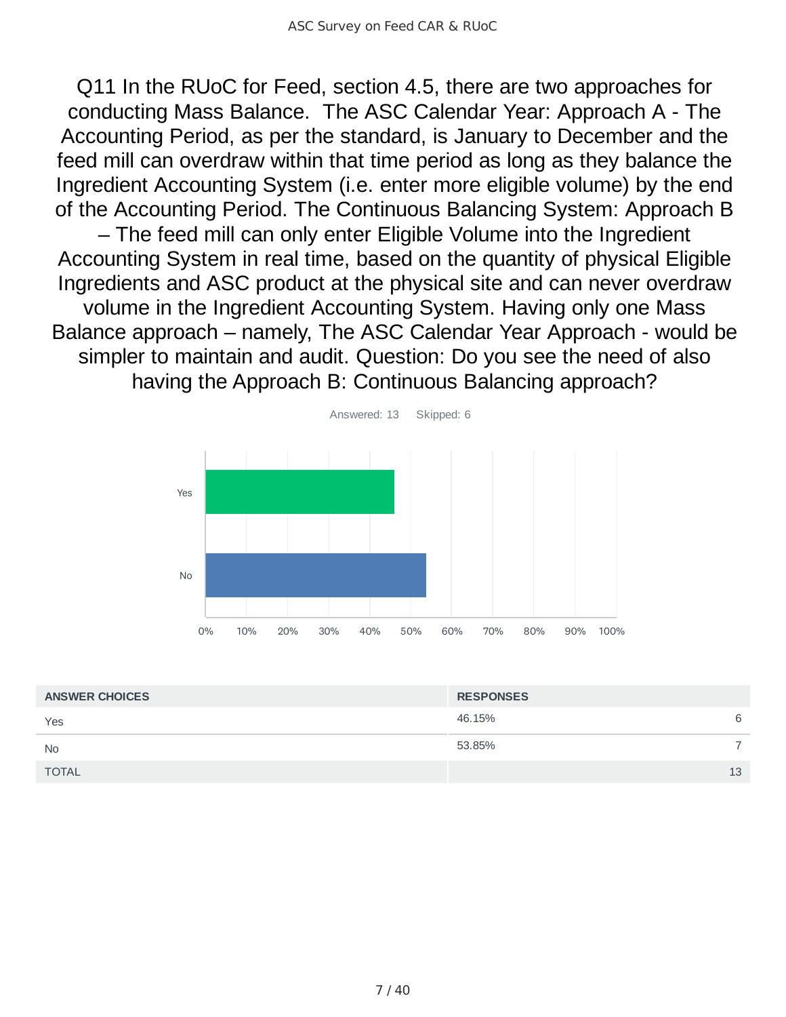Q11 In the RUoC for Feed, section 4.5, there are two approaches for conducting Mass Balance. The ASC Calendar Year: Approach A - The Accounting Period, as per the standard, is January to December and the feed mill can overdraw within that time period as long as they balance the Ingredient Accounting System (i.e. enter more eligible volume) by the end of the Accounting Period. The Continuous Balancing System: Approach B – The feed mill can only enter Eligible Volume into the Ingredient Accounting System in real time, based on the quantity of physical Eligible Ingredients and ASC product at the physical site and can never overdraw volume in the Ingredient Accounting System. Having only one Mass Balance approach – namely, The ASC Calendar Year Approach - would be simpler to maintain and audit. Question: Do you see the need of also having the Approach B: Continuous Balancing approach?



| <b>ANSWER CHOICES</b> | <b>RESPONSES</b> |   |
|-----------------------|------------------|---|
| Yes                   | 46.15%           | 6 |
| <b>No</b>             | 53.85%           |   |
| <b>TOTAL</b>          | 13               |   |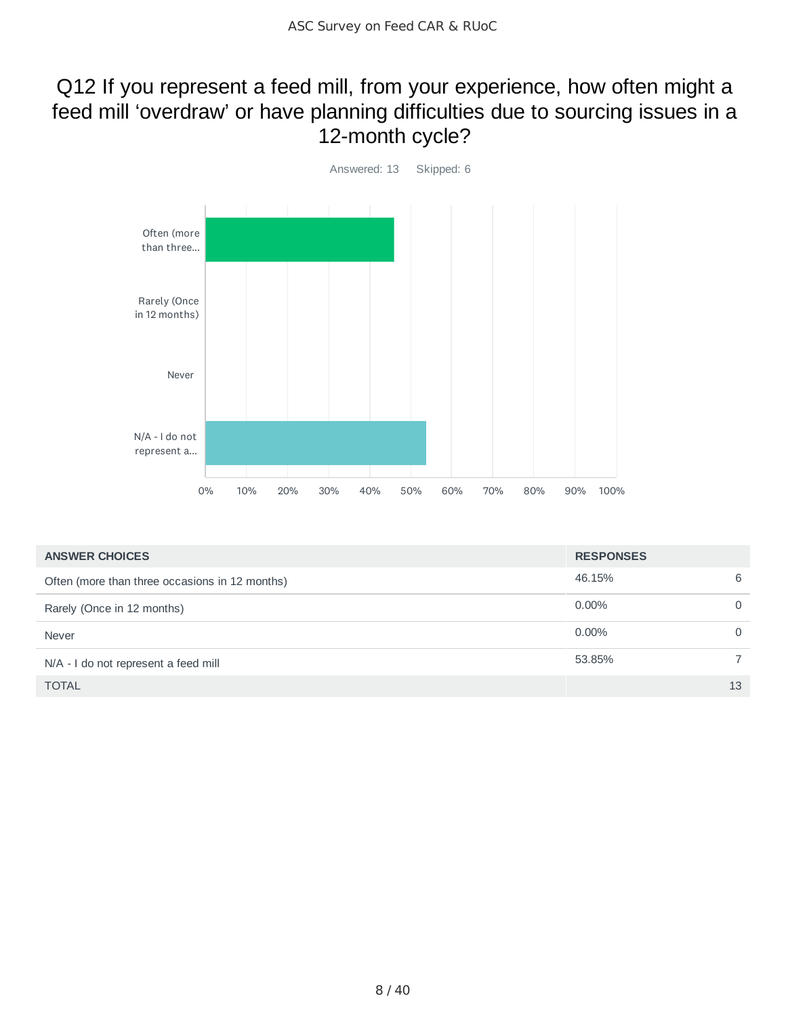## Q12 If you represent a feed mill, from your experience, how often might a feed mill 'overdraw' or have planning difficulties due to sourcing issues in a 12-month cycle?



| <b>ANSWER CHOICES</b>                          | <b>RESPONSES</b> |    |
|------------------------------------------------|------------------|----|
| Often (more than three occasions in 12 months) | 46.15%           | 6  |
| Rarely (Once in 12 months)                     | 0.00%            |    |
| <b>Never</b>                                   | 0.00%            |    |
| N/A - I do not represent a feed mill           | 53.85%           |    |
| <b>TOTAL</b>                                   |                  | 13 |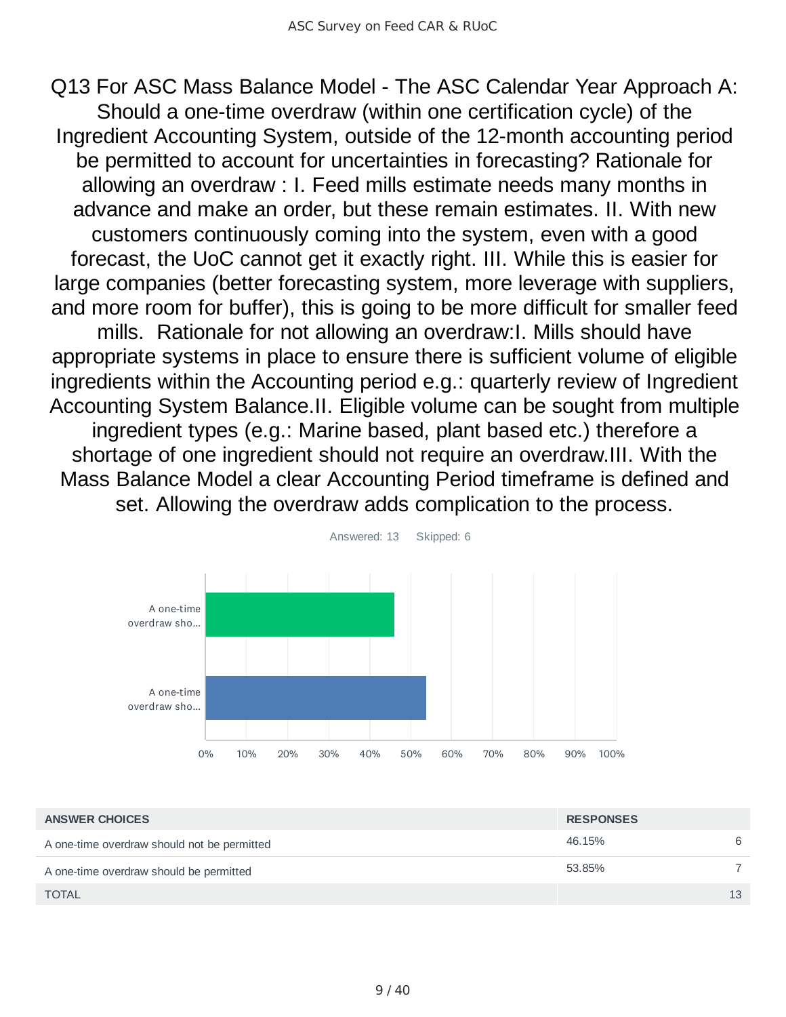Q13 For ASC Mass Balance Model - The ASC Calendar Year Approach A: Should a one-time overdraw (within one certification cycle) of the Ingredient Accounting System, outside of the 12-month accounting period be permitted to account for uncertainties in forecasting? Rationale for allowing an overdraw : I. Feed mills estimate needs many months in advance and make an order, but these remain estimates. II. With new customers continuously coming into the system, even with a good forecast, the UoC cannot get it exactly right. III. While this is easier for large companies (better forecasting system, more leverage with suppliers, and more room for buffer), this is going to be more difficult for smaller feed mills. Rationale for not allowing an overdraw:I. Mills should have appropriate systems in place to ensure there is sufficient volume of eligible ingredients within the Accounting period e.g.: quarterly review of Ingredient Accounting System Balance.II. Eligible volume can be sought from multiple ingredient types (e.g.: Marine based, plant based etc.) therefore a shortage of one ingredient should not require an overdraw.III. With the Mass Balance Model a clear Accounting Period timeframe is defined and set. Allowing the overdraw adds complication to the process.



46.15% 6 53.85% 7  $\blacksquare$  TOTAL  $\blacksquare$  13 **ANSWER CHOICES RESPONSES** A one-time overdraw should not be permitted A one-time overdraw should be permitted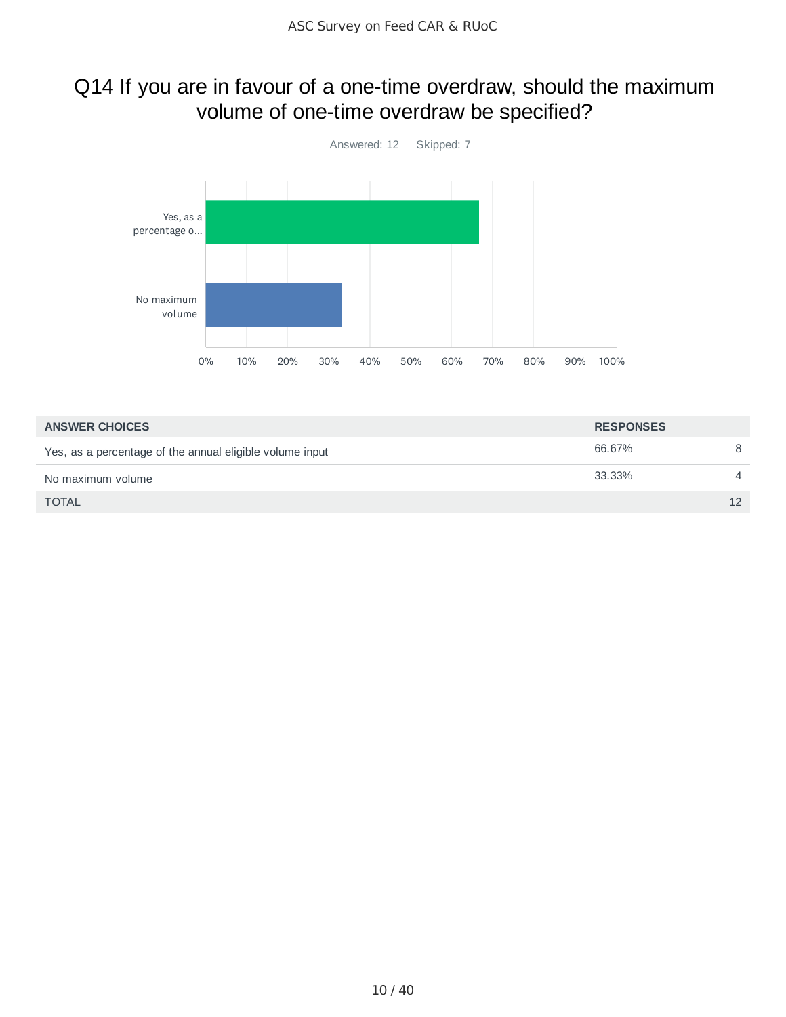# Q14 If you are in favour of a one-time overdraw, should the maximum volume of one-time overdraw be specified?



| <b>ANSWER CHOICES</b>                                    | <b>RESPONSES</b> |                |
|----------------------------------------------------------|------------------|----------------|
| Yes, as a percentage of the annual eligible volume input | 66.67%           | 8              |
| No maximum volume                                        | 33.33%           | $\overline{A}$ |
| <b>TOTAL</b>                                             |                  | 12             |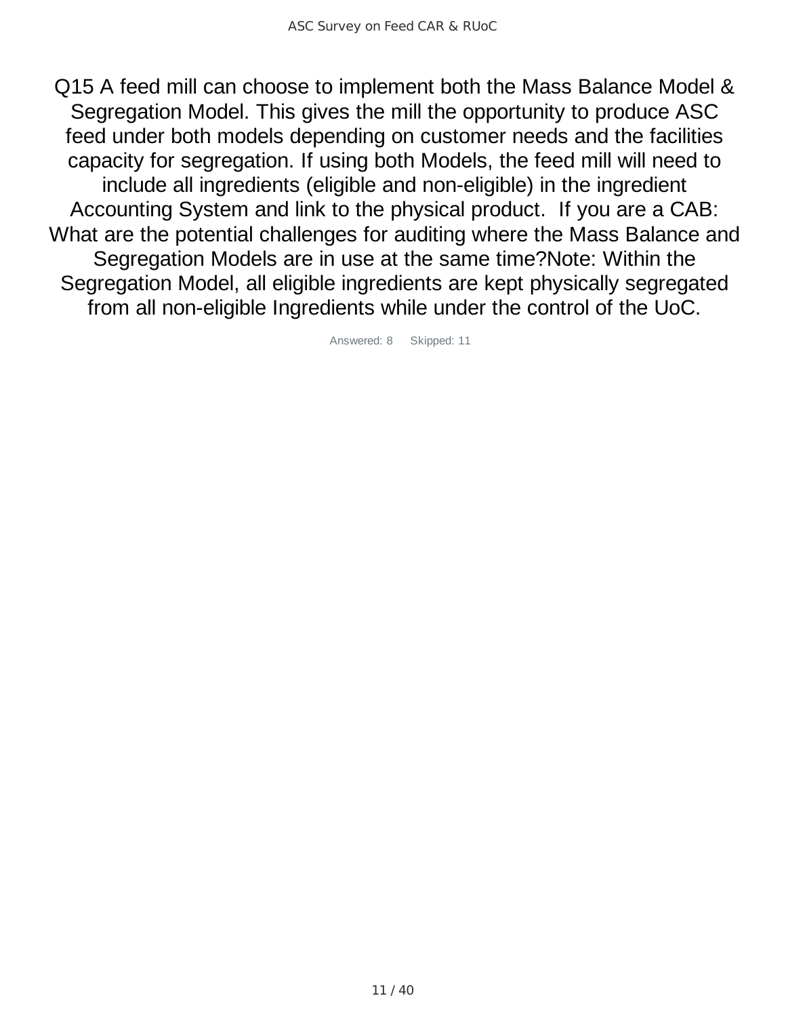Q15 A feed mill can choose to implement both the Mass Balance Model & Segregation Model. This gives the mill the opportunity to produce ASC feed under both models depending on customer needs and the facilities capacity for segregation. If using both Models, the feed mill will need to include all ingredients (eligible and non-eligible) in the ingredient Accounting System and link to the physical product. If you are a CAB: What are the potential challenges for auditing where the Mass Balance and Segregation Models are in use at the same time?Note: Within the Segregation Model, all eligible ingredients are kept physically segregated from all non-eligible Ingredients while under the control of the UoC.

Answered: 8 Skipped: 11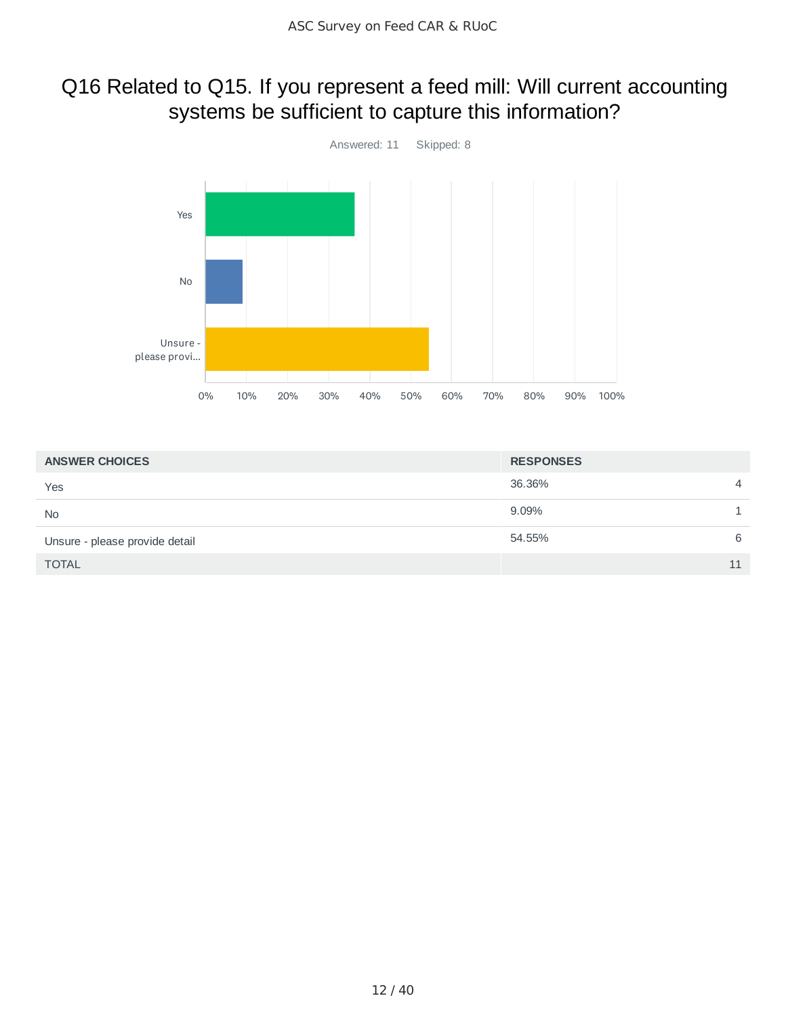### Q16 Related to Q15. If you represent a feed mill: Will current accounting systems be sufficient to capture this information?



| <b>ANSWER CHOICES</b>          | <b>RESPONSES</b> |                |
|--------------------------------|------------------|----------------|
| Yes                            | 36.36%           | $\overline{4}$ |
| <b>No</b>                      | 9.09%            |                |
| Unsure - please provide detail | 54.55%           | 6              |
| <b>TOTAL</b>                   |                  | 11             |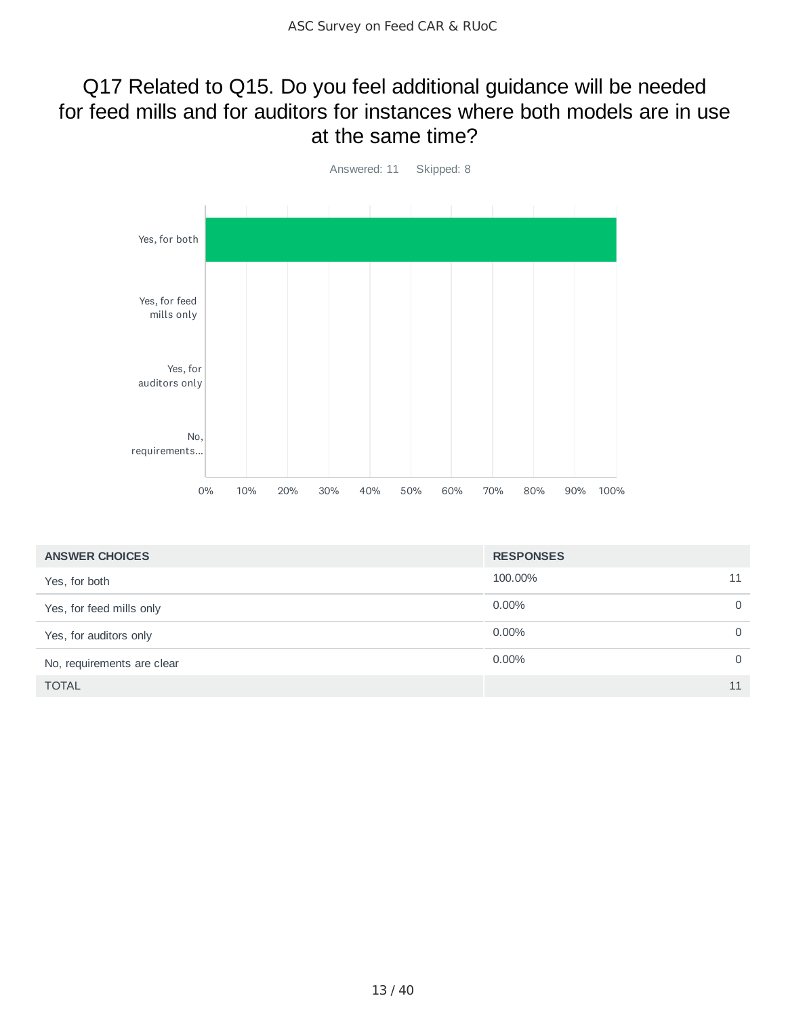### Q17 Related to Q15. Do you feel additional guidance will be needed for feed mills and for auditors for instances where both models are in use at the same time?



| <b>ANSWER CHOICES</b>      | <b>RESPONSES</b> |          |
|----------------------------|------------------|----------|
| Yes, for both              | 100.00%          | 11       |
| Yes, for feed mills only   | $0.00\%$         | $\circ$  |
| Yes, for auditors only     | $0.00\%$         | $\Omega$ |
| No, requirements are clear | $0.00\%$         | $\Omega$ |
| <b>TOTAL</b>               |                  | 11       |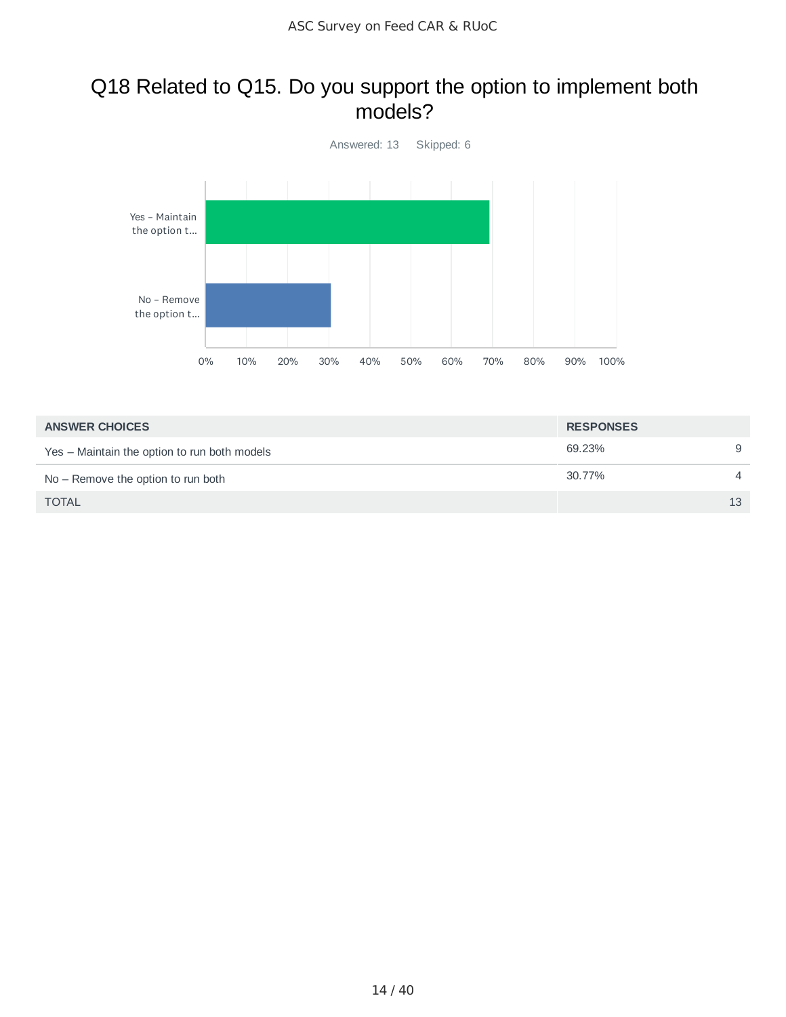### Q18 Related to Q15. Do you support the option to implement both models?



| <b>ANSWER CHOICES</b>                        | <b>RESPONSES</b> |                |
|----------------------------------------------|------------------|----------------|
| Yes – Maintain the option to run both models | 69.23%           | 9              |
| $No$ – Remove the option to run both         | 30.77%           | $\overline{4}$ |
| <b>TOTAL</b>                                 |                  | 13             |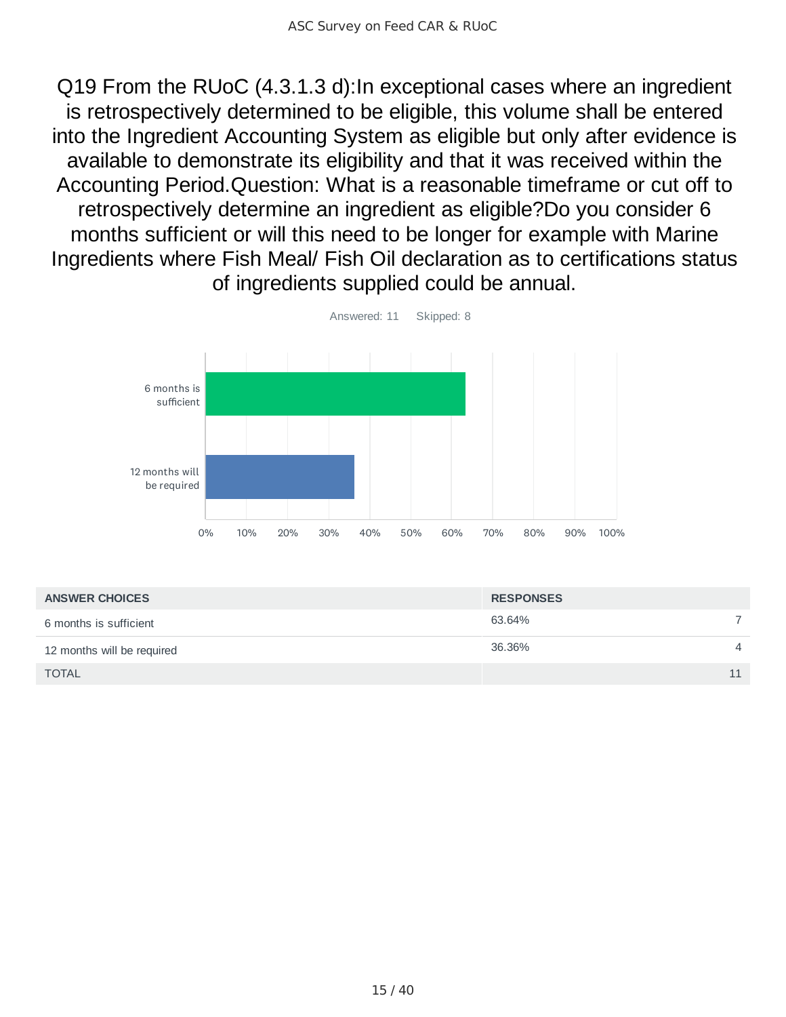Q19 From the RUoC (4.3.1.3 d):In exceptional cases where an ingredient is retrospectively determined to be eligible, this volume shall be entered into the Ingredient Accounting System as eligible but only after evidence is available to demonstrate its eligibility and that it was received within the Accounting Period.Question: What is a reasonable timeframe or cut off to retrospectively determine an ingredient as eligible?Do you consider 6 months sufficient or will this need to be longer for example with Marine Ingredients where Fish Meal/ Fish Oil declaration as to certifications status of ingredients supplied could be annual.



| <b>ANSWER CHOICES</b>      | <b>RESPONSES</b> |                |
|----------------------------|------------------|----------------|
| 6 months is sufficient     | 63.64%           |                |
| 12 months will be required | 36.36%           | $\overline{4}$ |
| <b>TOTAL</b>               |                  | 11             |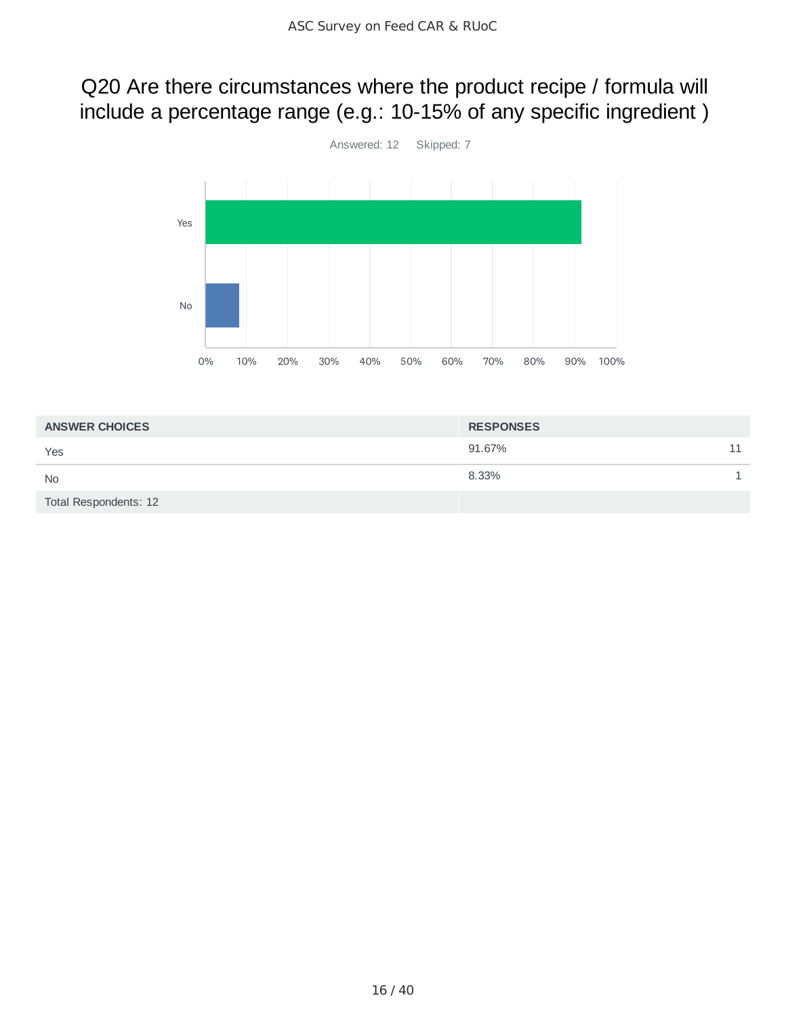# Q20 Are there circumstances where the product recipe / formula will include a percentage range (e.g.: 10-15% of any specific ingredient )



| <b>ANSWER CHOICES</b> | <b>RESPONSES</b> |    |
|-----------------------|------------------|----|
| Yes                   | 91.67%           | 11 |
| <b>No</b>             | 8.33%            |    |
| Total Respondents: 12 |                  |    |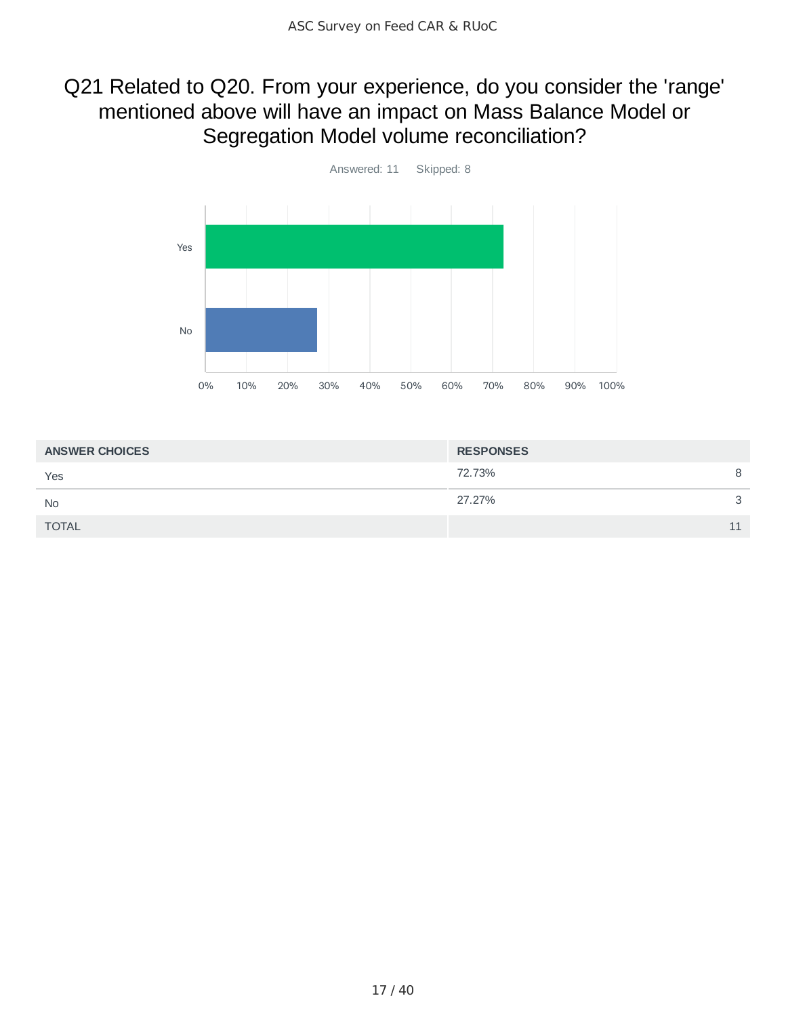# Q21 Related to Q20. From your experience, do you consider the 'range' mentioned above will have an impact on Mass Balance Model or Segregation Model volume reconciliation?



| <b>ANSWER CHOICES</b> | <b>RESPONSES</b> |   |
|-----------------------|------------------|---|
| Yes                   | 72.73%           | 8 |
| <b>No</b>             | 27.27%           | ₽ |
| <b>TOTAL</b>          |                  |   |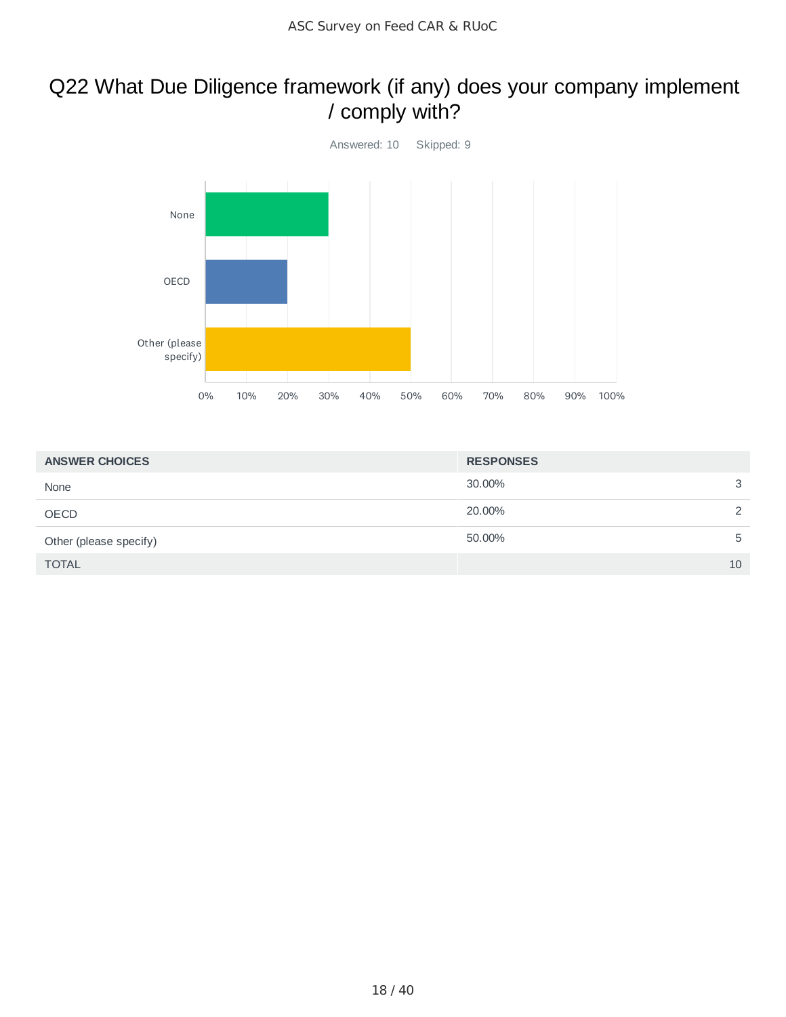## Q22 What Due Diligence framework (if any) does your company implement / comply with?



| <b>ANSWER CHOICES</b>  | <b>RESPONSES</b> |    |
|------------------------|------------------|----|
| None                   | 30.00%           | 3  |
| OECD                   | 20.00%           | 2  |
| Other (please specify) | 50.00%           | 5  |
| <b>TOTAL</b>           |                  | 10 |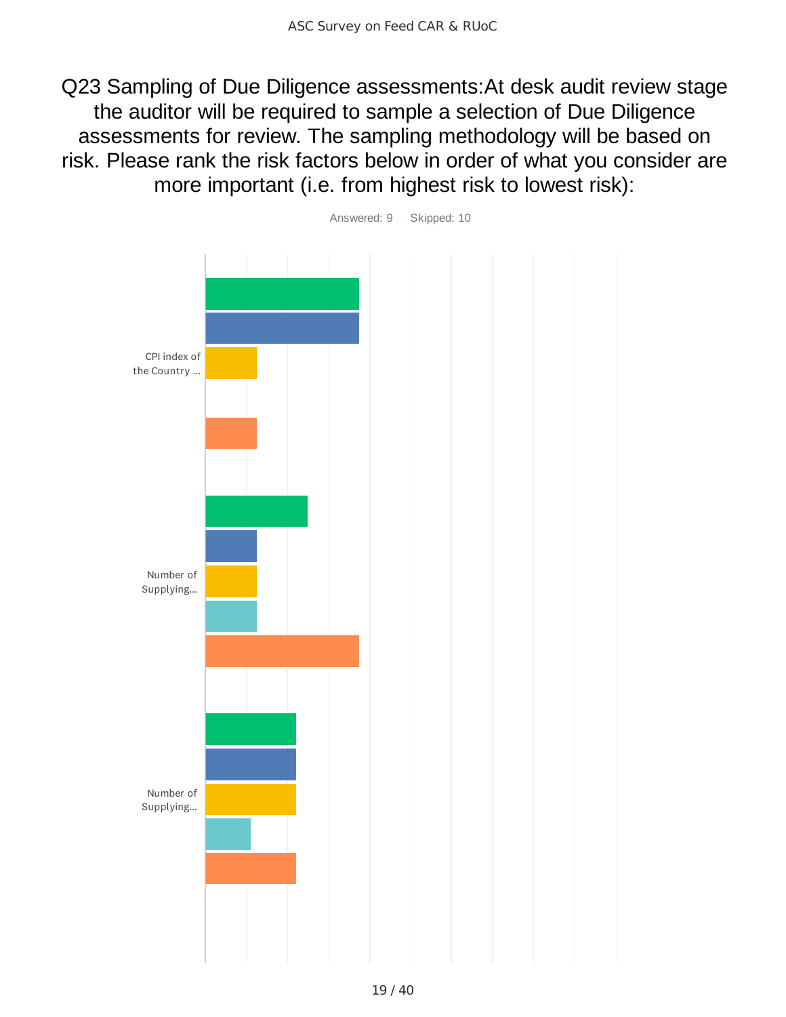Q23 Sampling of Due Diligence assessments:At desk audit review stage the auditor will be required to sample a selection of Due Diligence assessments for review. The sampling methodology will be based on risk. Please rank the risk factors below in order of what you consider are more important (i.e. from highest risk to lowest risk):

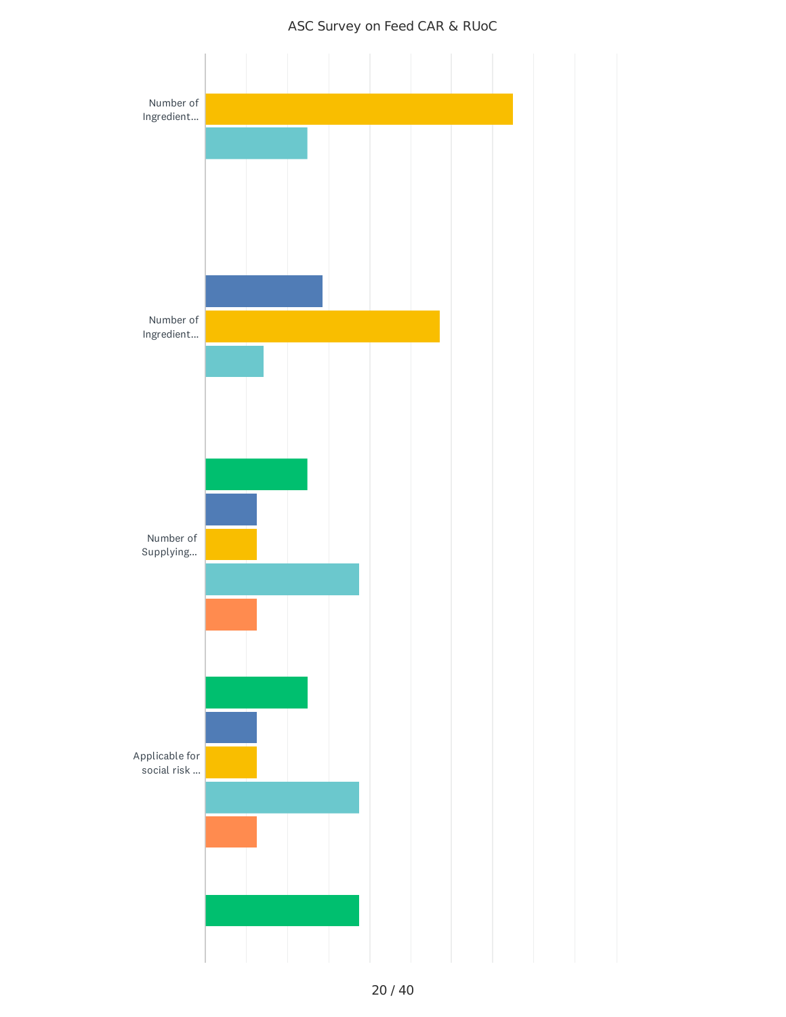#### ASC Survey on Feed CAR & RUoC

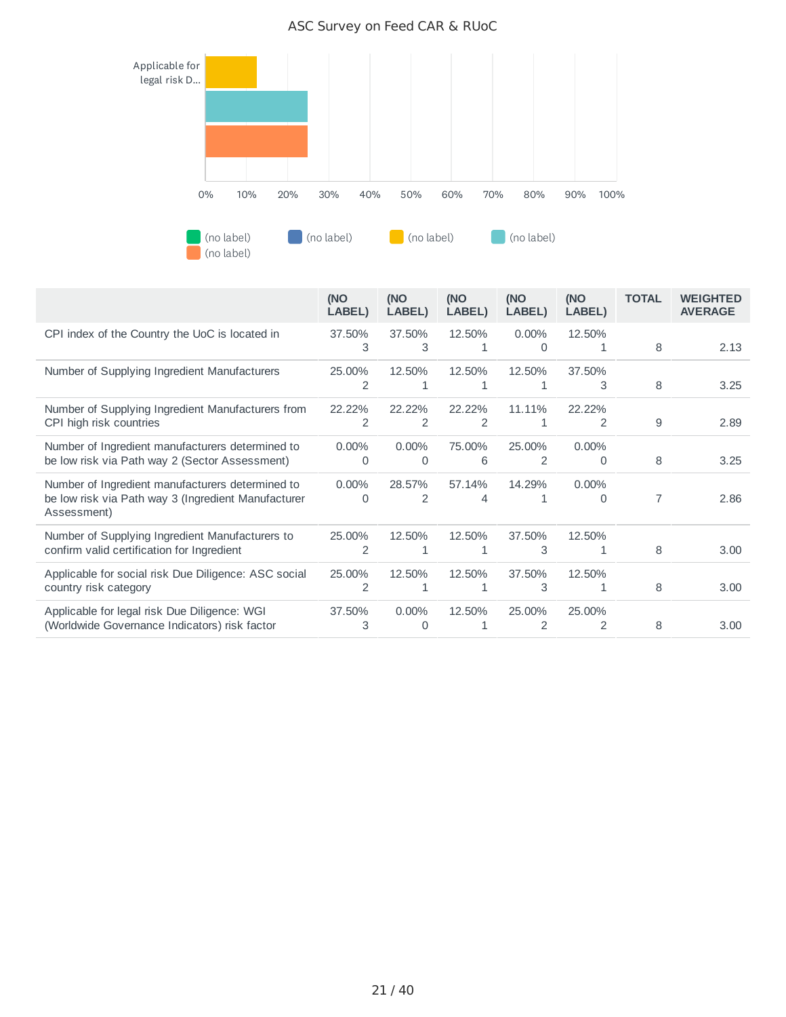

#### ASC Survey on Feed CAR & RUoC

|                                                                                                                        | (NO<br>LABEL)            | (NO<br>LABEL)            | (NO<br>LABEL) | (NO<br>LABEL)            | (NO<br>LABEL)            | <b>TOTAL</b>   | <b>WEIGHTED</b><br><b>AVERAGE</b> |
|------------------------------------------------------------------------------------------------------------------------|--------------------------|--------------------------|---------------|--------------------------|--------------------------|----------------|-----------------------------------|
| CPI index of the Country the UoC is located in                                                                         | 37.50%<br>3              | 37.50%<br>3              | 12.50%<br>1   | $0.00\%$<br>0            | 12.50%<br>1              | 8              | 2.13                              |
| Number of Supplying Ingredient Manufacturers                                                                           | 25.00%<br>2              | 12.50%<br>1              | 12.50%<br>1   | 12.50%<br>1              | 37.50%<br>3              | 8              | 3.25                              |
| Number of Supplying Ingredient Manufacturers from<br>CPI high risk countries                                           | 22.22%<br>2              | 22.22%<br>2              | 22.22%<br>2   | 11.11%<br>1              | 22.22%<br>$\overline{2}$ | 9              | 2.89                              |
| Number of Ingredient manufacturers determined to<br>be low risk via Path way 2 (Sector Assessment)                     | 0.00%<br>0               | $0.00\%$<br>0            | 75.00%<br>6   | 25.00%<br>$\overline{2}$ | 0.00%<br>0               | 8              | 3.25                              |
| Number of Ingredient manufacturers determined to<br>be low risk via Path way 3 (Ingredient Manufacturer<br>Assessment) | $0.00\%$<br>$\Omega$     | 28.57%<br>$\overline{2}$ | 57.14%<br>4   | 14.29%                   | $0.00\%$<br>$\Omega$     | $\overline{7}$ | 2.86                              |
| Number of Supplying Ingredient Manufacturers to<br>confirm valid certification for Ingredient                          | 25.00%<br>$\overline{2}$ | 12.50%<br>1              | 12.50%<br>1   | 37.50%<br>3              | 12.50%<br>1              | 8              | 3.00                              |
| Applicable for social risk Due Diligence: ASC social<br>country risk category                                          | 25.00%<br>2              | 12.50%<br>1              | 12.50%        | 37.50%<br>3              | 12.50%<br>1              | 8              | 3.00                              |
| Applicable for legal risk Due Diligence: WGI<br>(Worldwide Governance Indicators) risk factor                          | 37.50%<br>3              | $0.00\%$<br>$\Omega$     | 12.50%        | 25.00%<br>$\overline{2}$ | 25.00%<br>2              | 8              | 3.00                              |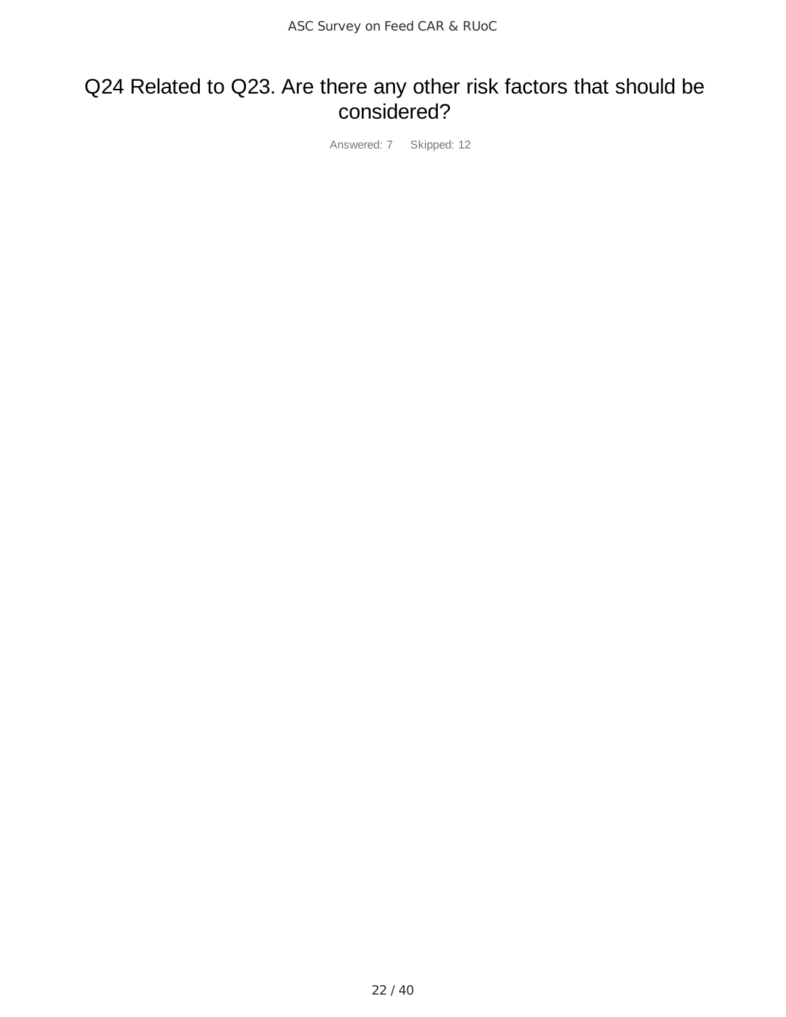### Q24 Related to Q23. Are there any other risk factors that should be considered?

Answered: 7 Skipped: 12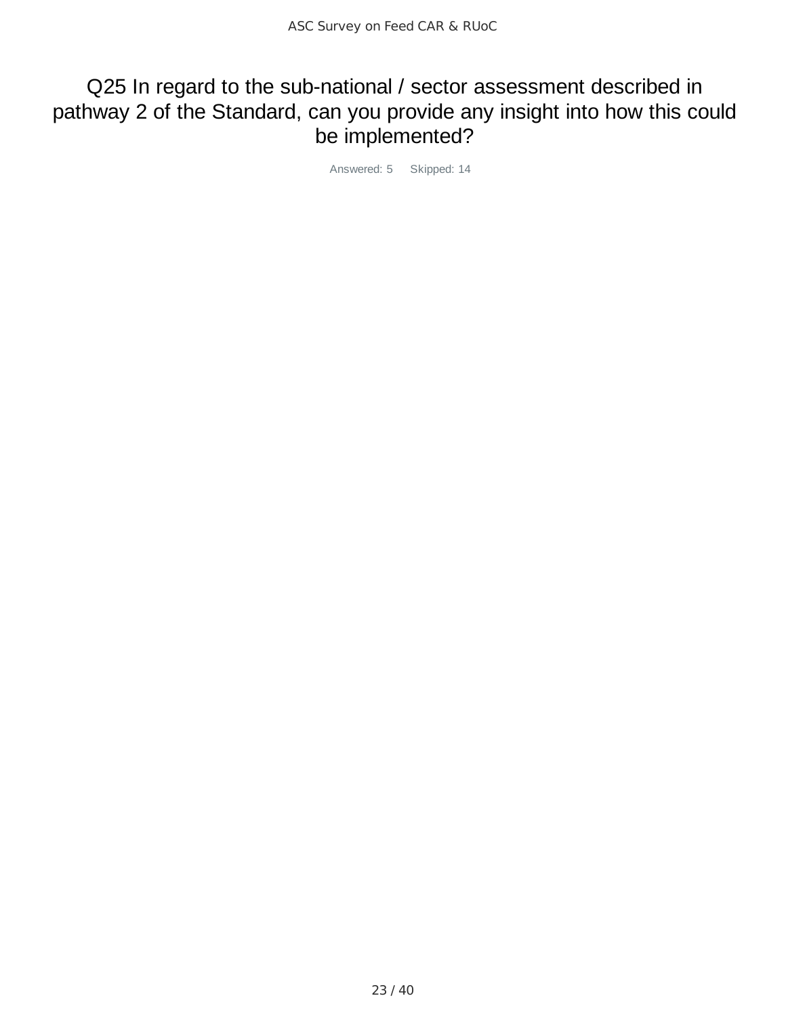## Q25 In regard to the sub-national / sector assessment described in pathway 2 of the Standard, can you provide any insight into how this could be implemented?

Answered: 5 Skipped: 14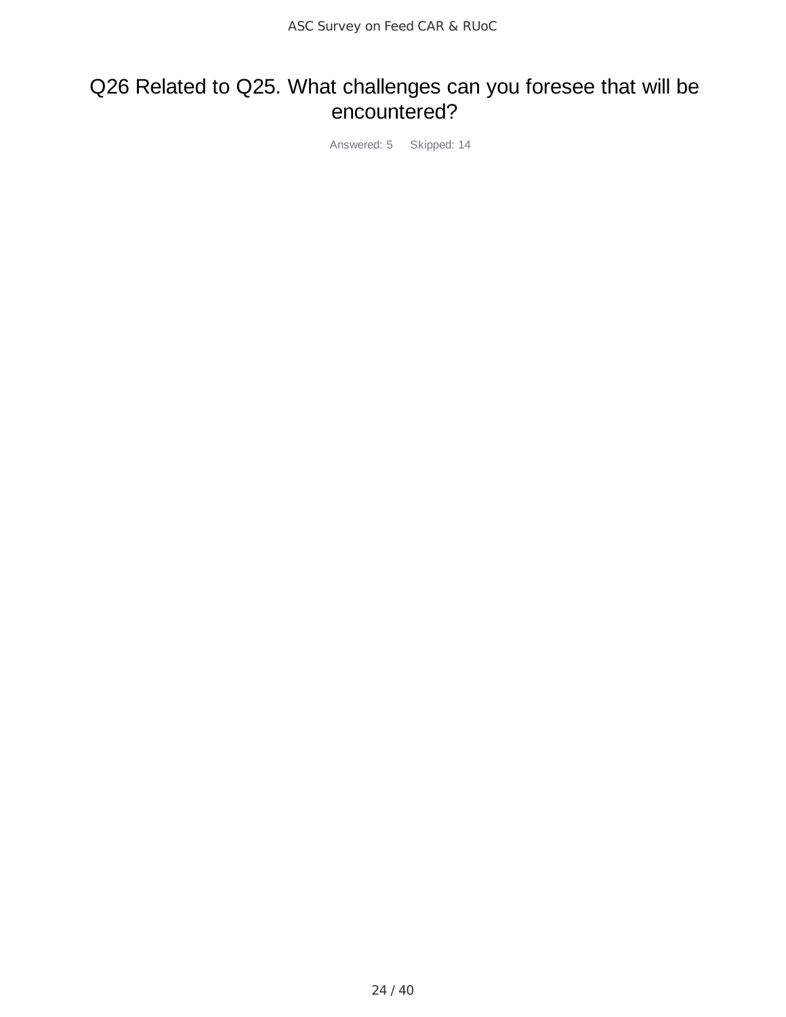# Q26 Related to Q25. What challenges can you foresee that will be encountered?

Answered: 5 Skipped: 14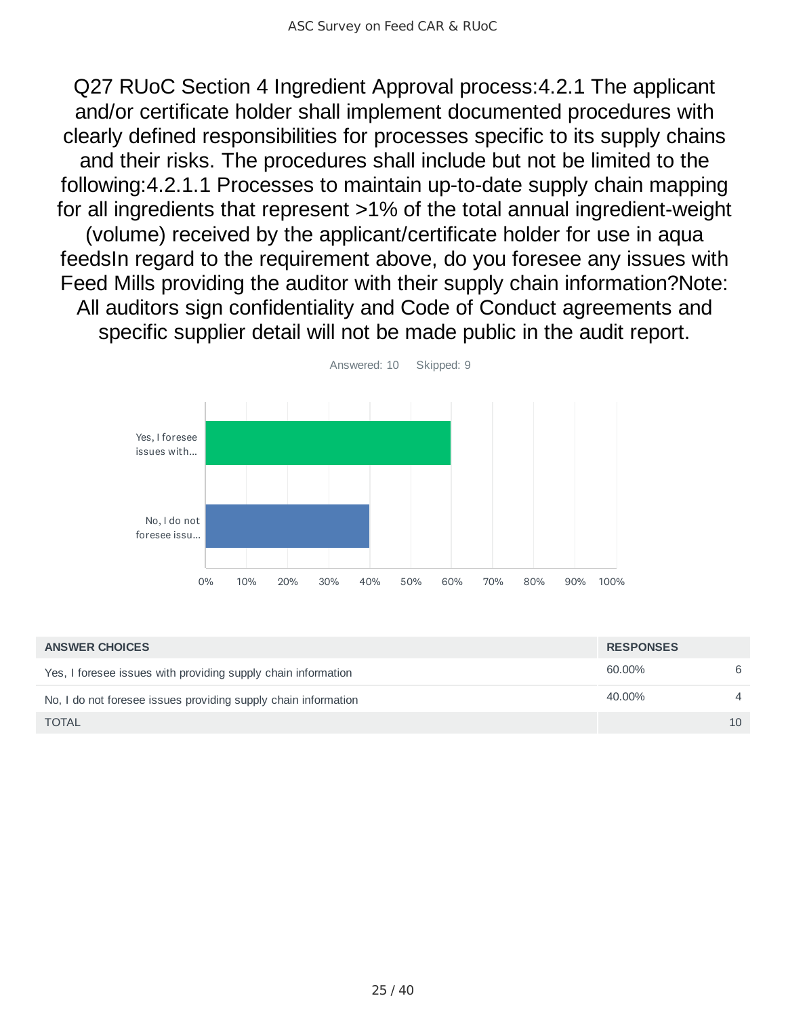Q27 RUoC Section 4 Ingredient Approval process:4.2.1 The applicant and/or certificate holder shall implement documented procedures with clearly defined responsibilities for processes specific to its supply chains and their risks. The procedures shall include but not be limited to the following:4.2.1.1 Processes to maintain up-to-date supply chain mapping for all ingredients that represent >1% of the total annual ingredient-weight (volume) received by the applicant/certificate holder for use in aqua feedsIn regard to the requirement above, do you foresee any issues with Feed Mills providing the auditor with their supply chain information?Note: All auditors sign confidentiality and Code of Conduct agreements and specific supplier detail will not be made public in the audit report.



| <b>ANSWER CHOICES</b>                                          | <b>RESPONSES</b> |                |
|----------------------------------------------------------------|------------------|----------------|
| Yes, I foresee issues with providing supply chain information  | 60.00%           | 6              |
| No, I do not foresee issues providing supply chain information | 40.00%           | $\overline{4}$ |
| <b>TOTAL</b>                                                   |                  | 10             |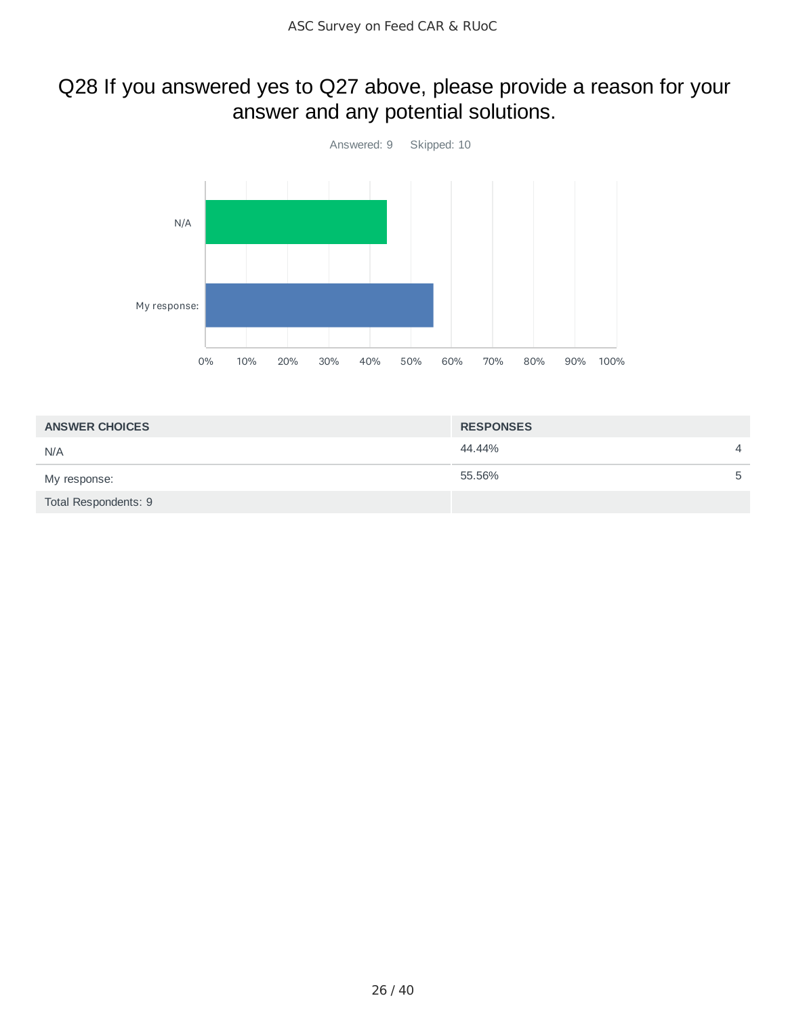# Q28 If you answered yes to Q27 above, please provide a reason for your answer and any potential solutions.



| <b>ANSWER CHOICES</b> | <b>RESPONSES</b> |                |
|-----------------------|------------------|----------------|
| N/A                   | 44.44%           | $\overline{4}$ |
| My response:          | 55.56%           | 5              |
| Total Respondents: 9  |                  |                |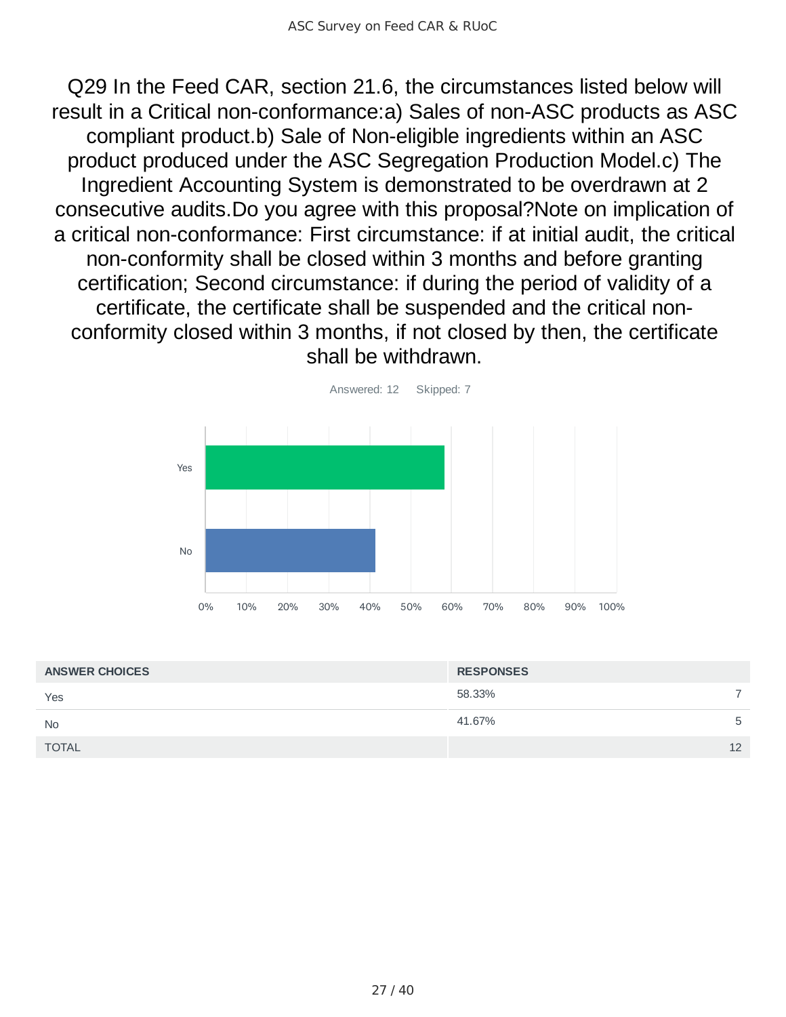Q29 In the Feed CAR, section 21.6, the circumstances listed below will result in a Critical non-conformance:a) Sales of non-ASC products as ASC compliant product.b) Sale of Non-eligible ingredients within an ASC product produced under the ASC Segregation Production Model.c) The Ingredient Accounting System is demonstrated to be overdrawn at 2 consecutive audits.Do you agree with this proposal?Note on implication of a critical non-conformance: First circumstance: if at initial audit, the critical non-conformity shall be closed within 3 months and before granting certification; Second circumstance: if during the period of validity of a certificate, the certificate shall be suspended and the critical nonconformity closed within 3 months, if not closed by then, the certificate shall be withdrawn.



| <b>ANSWER CHOICES</b> | <b>RESPONSES</b> |    |
|-----------------------|------------------|----|
| Yes                   | 58.33%           |    |
| <b>No</b>             | 41.67%           | 5  |
| <b>TOTAL</b>          |                  | 12 |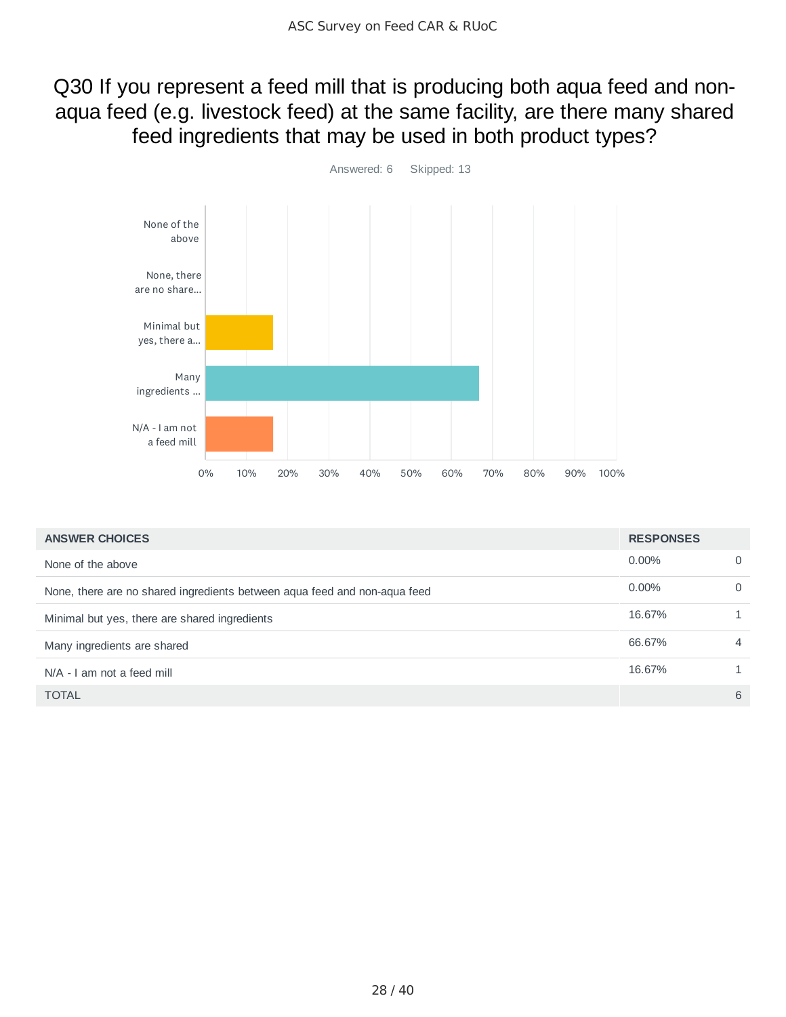## Q30 If you represent a feed mill that is producing both aqua feed and nonaqua feed (e.g. livestock feed) at the same facility, are there many shared feed ingredients that may be used in both product types?



| <b>ANSWER CHOICES</b>                                                     | <b>RESPONSES</b> |          |
|---------------------------------------------------------------------------|------------------|----------|
| None of the above                                                         | $0.00\%$         | $\Omega$ |
| None, there are no shared ingredients between aqua feed and non-aqua feed | $0.00\%$         | $\Omega$ |
| Minimal but yes, there are shared ingredients                             | 16.67%           |          |
| Many ingredients are shared                                               | 66.67%           | 4        |
| N/A - I am not a feed mill                                                | 16.67%           |          |
| <b>TOTAL</b>                                                              |                  | 6        |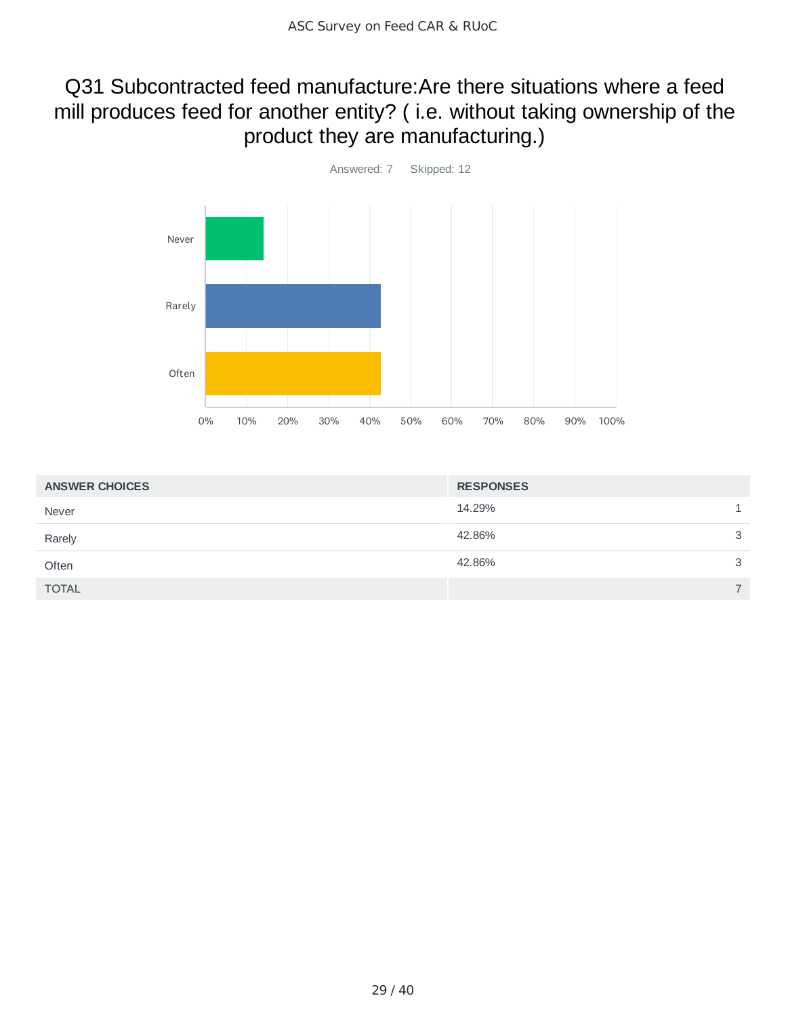### Q31 Subcontracted feed manufacture:Are there situations where a feed mill produces feed for another entity? ( i.e. without taking ownership of the product they are manufacturing.)



| <b>ANSWER CHOICES</b> | <b>RESPONSES</b> |   |
|-----------------------|------------------|---|
| Never                 | 14.29%           |   |
| Rarely                | 42.86%           | 3 |
| Often                 | 42.86%           | 3 |
| <b>TOTAL</b>          |                  | ⇁ |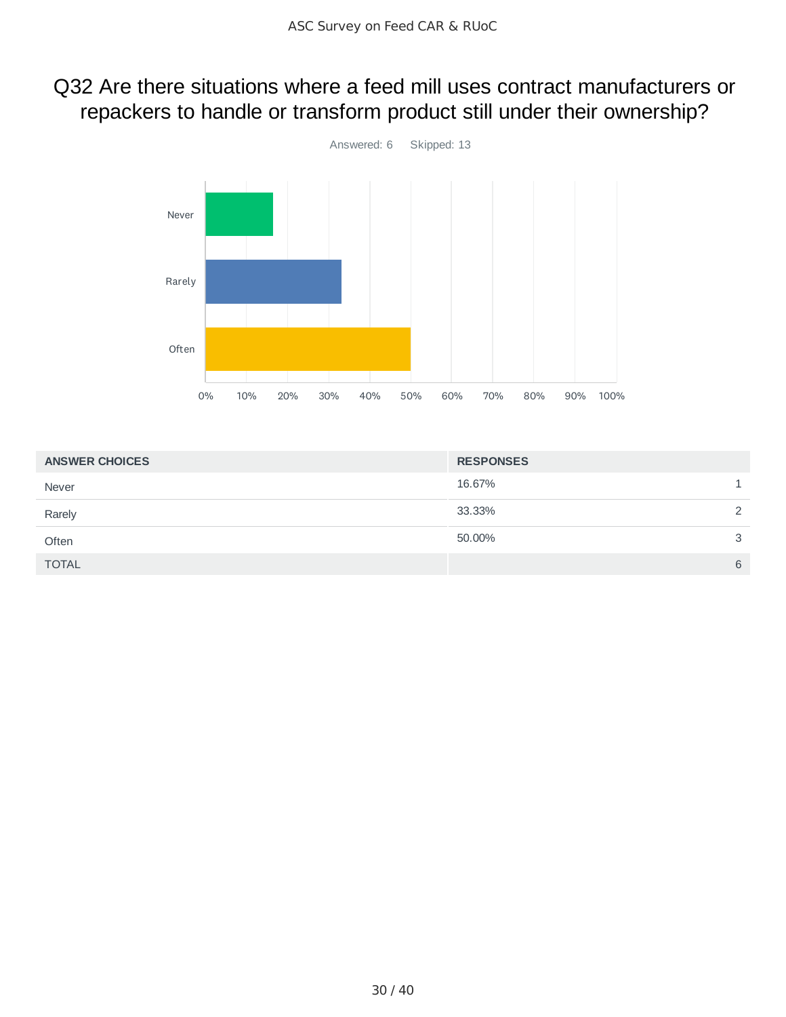# Q32 Are there situations where a feed mill uses contract manufacturers or repackers to handle or transform product still under their ownership?



| <b>ANSWER CHOICES</b> | <b>RESPONSES</b> |   |
|-----------------------|------------------|---|
| Never                 | 16.67%           |   |
| Rarely                | 33.33%           | 2 |
| Often                 | 50.00%           | 3 |
| <b>TOTAL</b>          |                  | 6 |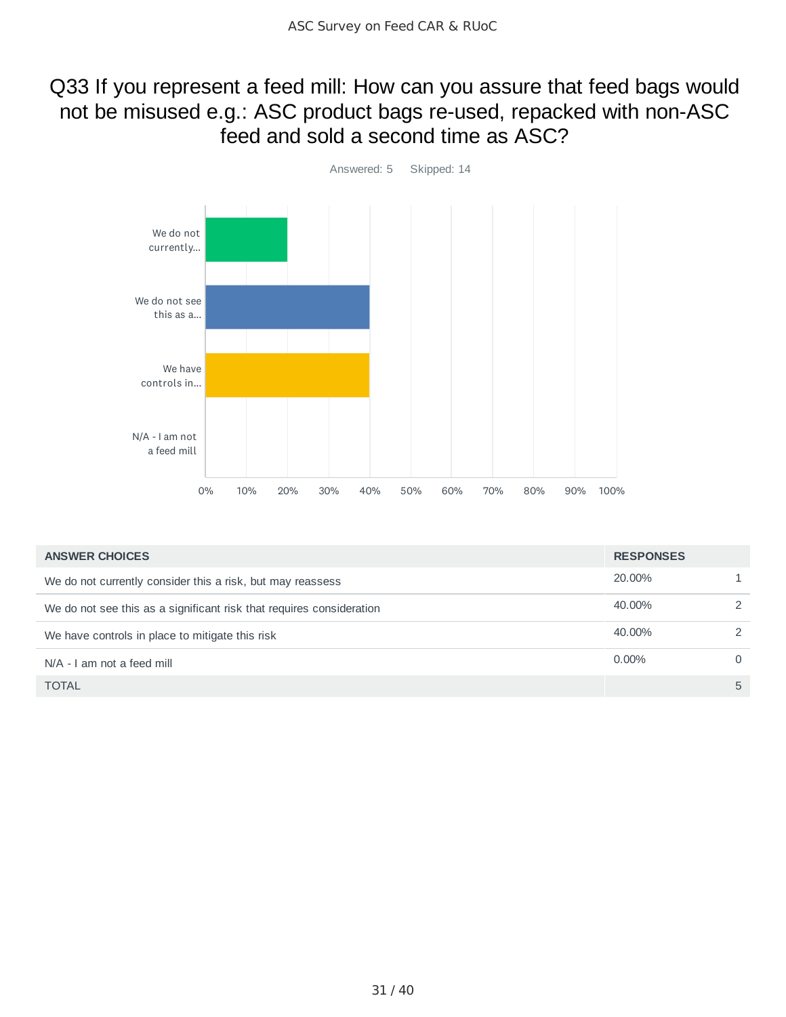### Q33 If you represent a feed mill: How can you assure that feed bags would not be misused e.g.: ASC product bags re-used, repacked with non-ASC feed and sold a second time as ASC?



| <b>ANSWER CHOICES</b>                                                | <b>RESPONSES</b> |               |
|----------------------------------------------------------------------|------------------|---------------|
| We do not currently consider this a risk, but may reassess           | 20,00%           |               |
| We do not see this as a significant risk that requires consideration | 40.00%           | $\mathcal{P}$ |
| We have controls in place to mitigate this risk                      | 40.00%           | $\mathcal{P}$ |
| N/A - I am not a feed mill                                           | $0.00\%$         | $\Omega$      |
| <b>TOTAL</b>                                                         |                  | 5             |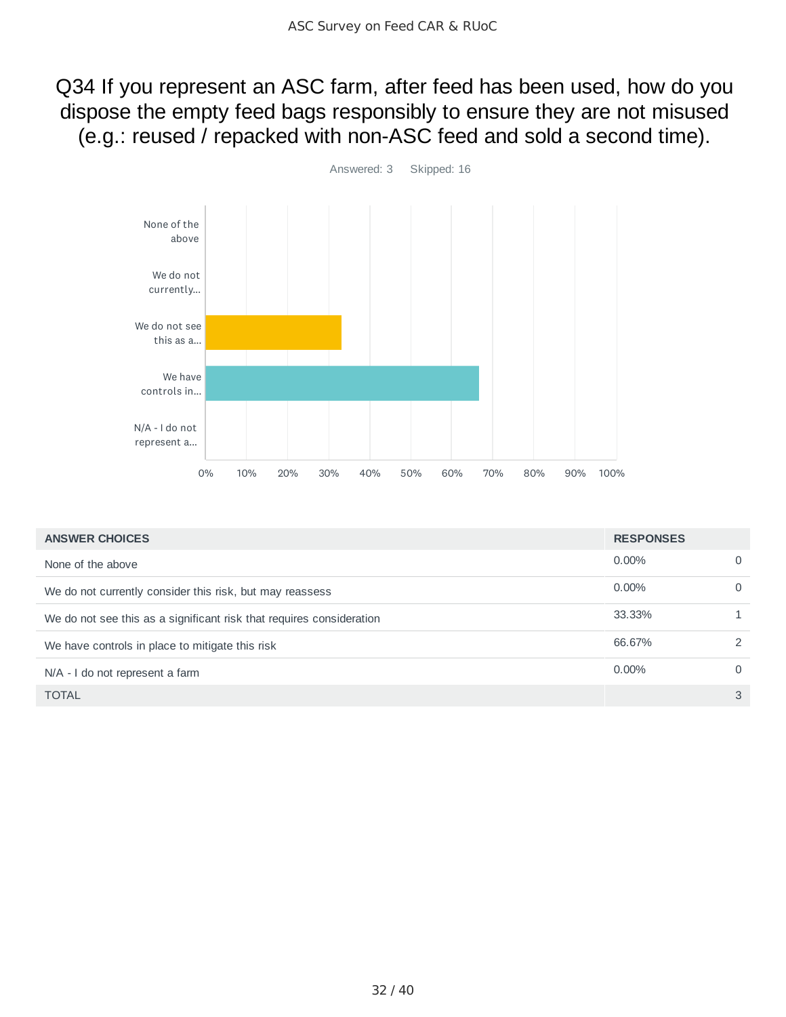Q34 If you represent an ASC farm, after feed has been used, how do you dispose the empty feed bags responsibly to ensure they are not misused (e.g.: reused / repacked with non-ASC feed and sold a second time).



| <b>ANSWER CHOICES</b>                                                | <b>RESPONSES</b> |          |
|----------------------------------------------------------------------|------------------|----------|
| None of the above                                                    | $0.00\%$         | 0        |
| We do not currently consider this risk, but may reassess             | $0.00\%$         | $\Omega$ |
| We do not see this as a significant risk that requires consideration | 33.33%           |          |
| We have controls in place to mitigate this risk                      | 66.67%           | 2        |
| N/A - I do not represent a farm                                      | 0.00%            | $\Omega$ |
| <b>TOTAL</b>                                                         |                  | 3        |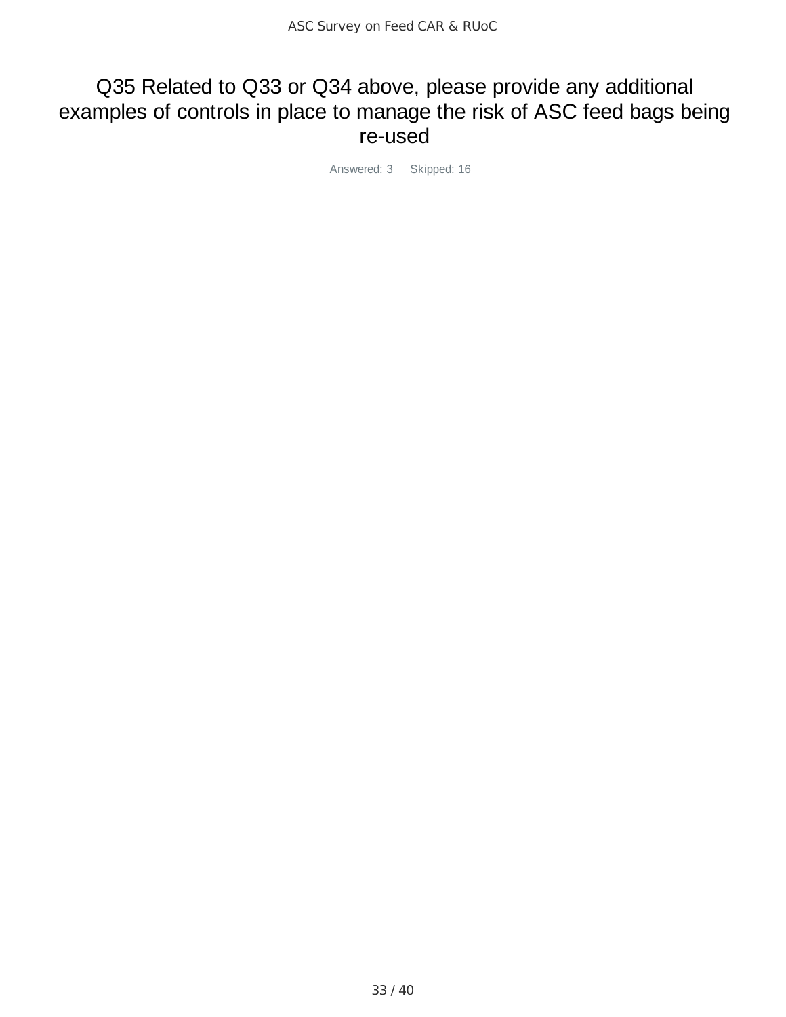### Q35 Related to Q33 or Q34 above, please provide any additional examples of controls in place to manage the risk of ASC feed bags being re-used

Answered: 3 Skipped: 16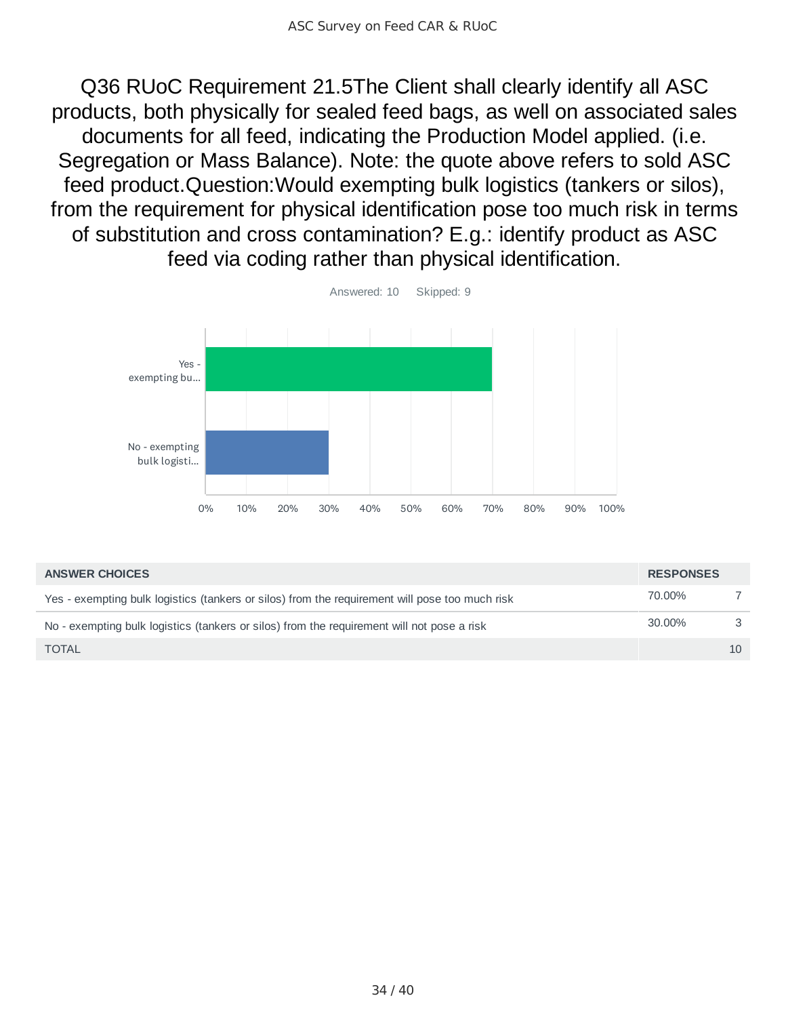Q36 RUoC Requirement 21.5The Client shall clearly identify all ASC products, both physically for sealed feed bags, as well on associated sales documents for all feed, indicating the Production Model applied. (i.e. Segregation or Mass Balance). Note: the quote above refers to sold ASC feed product.Question:Would exempting bulk logistics (tankers or silos), from the requirement for physical identification pose too much risk in terms of substitution and cross contamination? E.g.: identify product as ASC feed via coding rather than physical identification.



| <b>ANSWER CHOICES</b>                                                                          | <b>RESPONSES</b> |    |
|------------------------------------------------------------------------------------------------|------------------|----|
| Yes - exempting bulk logistics (tankers or silos) from the requirement will pose too much risk | 70.00%           |    |
| No - exempting bulk logistics (tankers or silos) from the requirement will not pose a risk     | 30.00%           |    |
| <b>TOTAL</b>                                                                                   |                  | 10 |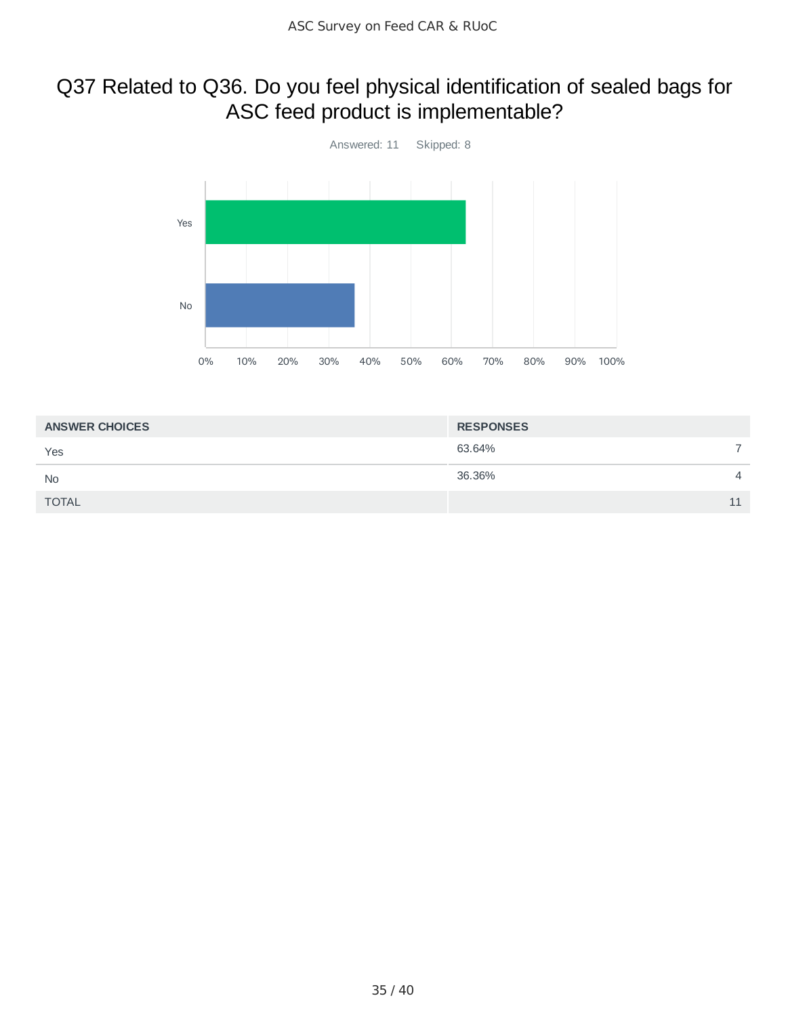# Q37 Related to Q36. Do you feel physical identification of sealed bags for ASC feed product is implementable?



| <b>ANSWER CHOICES</b> | <b>RESPONSES</b> |    |
|-----------------------|------------------|----|
| Yes                   | 63.64%           |    |
| <b>No</b>             | 36.36%           | 4  |
| <b>TOTAL</b>          |                  | 11 |
|                       |                  |    |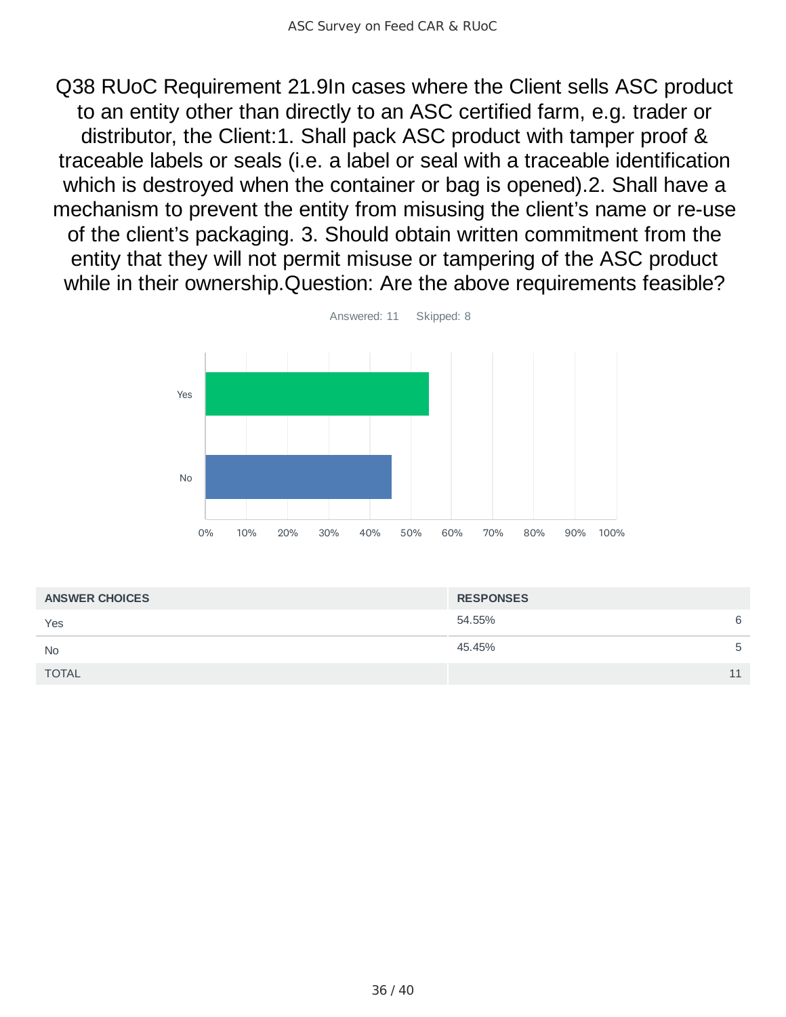Q38 RUoC Requirement 21.9In cases where the Client sells ASC product to an entity other than directly to an ASC certified farm, e.g. trader or distributor, the Client:1. Shall pack ASC product with tamper proof & traceable labels or seals (i.e. a label or seal with a traceable identification which is destroyed when the container or bag is opened).2. Shall have a mechanism to prevent the entity from misusing the client's name or re-use of the client's packaging. 3. Should obtain written commitment from the entity that they will not permit misuse or tampering of the ASC product while in their ownership.Question: Are the above requirements feasible?



| <b>ANSWER CHOICES</b> | <b>RESPONSES</b> |    |
|-----------------------|------------------|----|
| Yes                   | 54.55%           | 6  |
| <b>No</b>             | 45.45%           | 5  |
| <b>TOTAL</b>          |                  | 11 |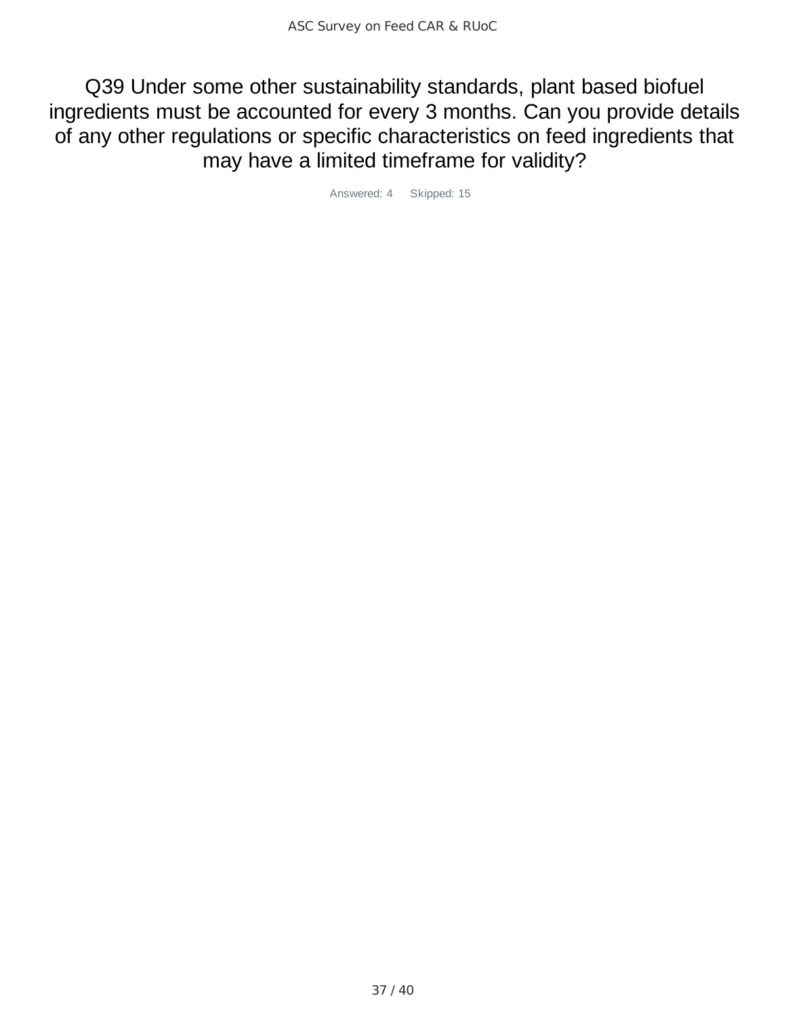Q39 Under some other sustainability standards, plant based biofuel ingredients must be accounted for every 3 months. Can you provide details of any other regulations or specific characteristics on feed ingredients that may have a limited timeframe for validity?

Answered: 4 Skipped: 15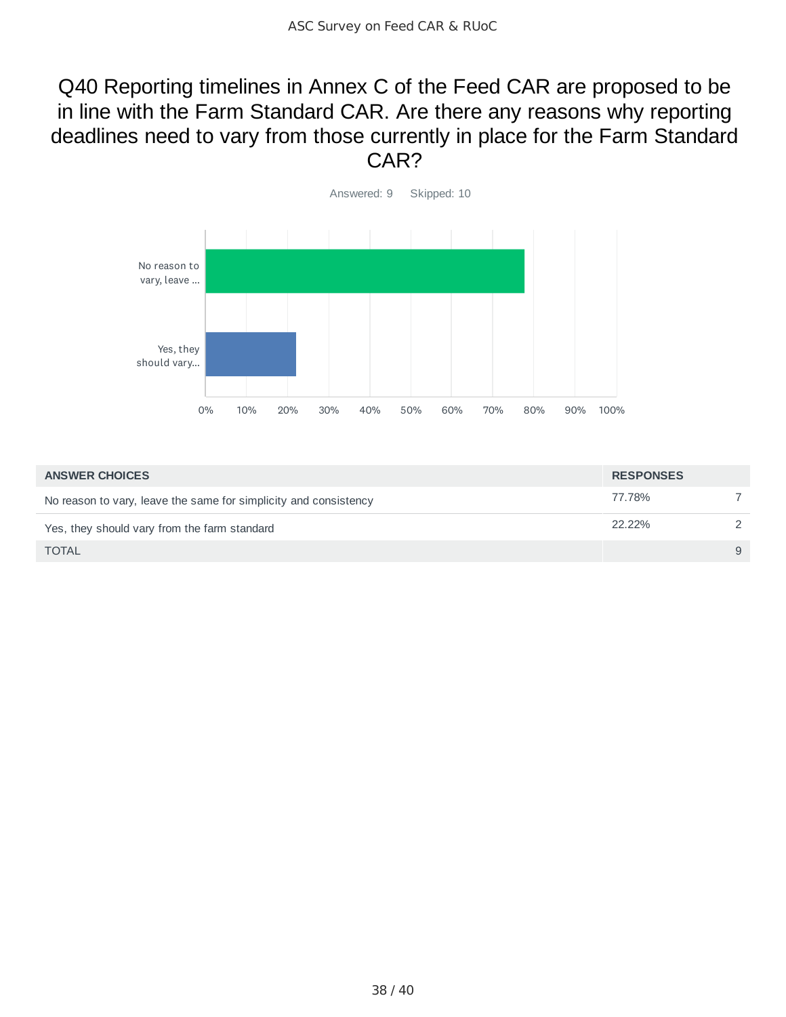### Q40 Reporting timelines in Annex C of the Feed CAR are proposed to be in line with the Farm Standard CAR. Are there any reasons why reporting deadlines need to vary from those currently in place for the Farm Standard CAR?



| <b>ANSWER CHOICES</b>                                            | <b>RESPONSES</b> |   |
|------------------------------------------------------------------|------------------|---|
| No reason to vary, leave the same for simplicity and consistency | 77.78%           |   |
| Yes, they should vary from the farm standard                     | 22.22%           |   |
| <b>TOTAL</b>                                                     |                  | 9 |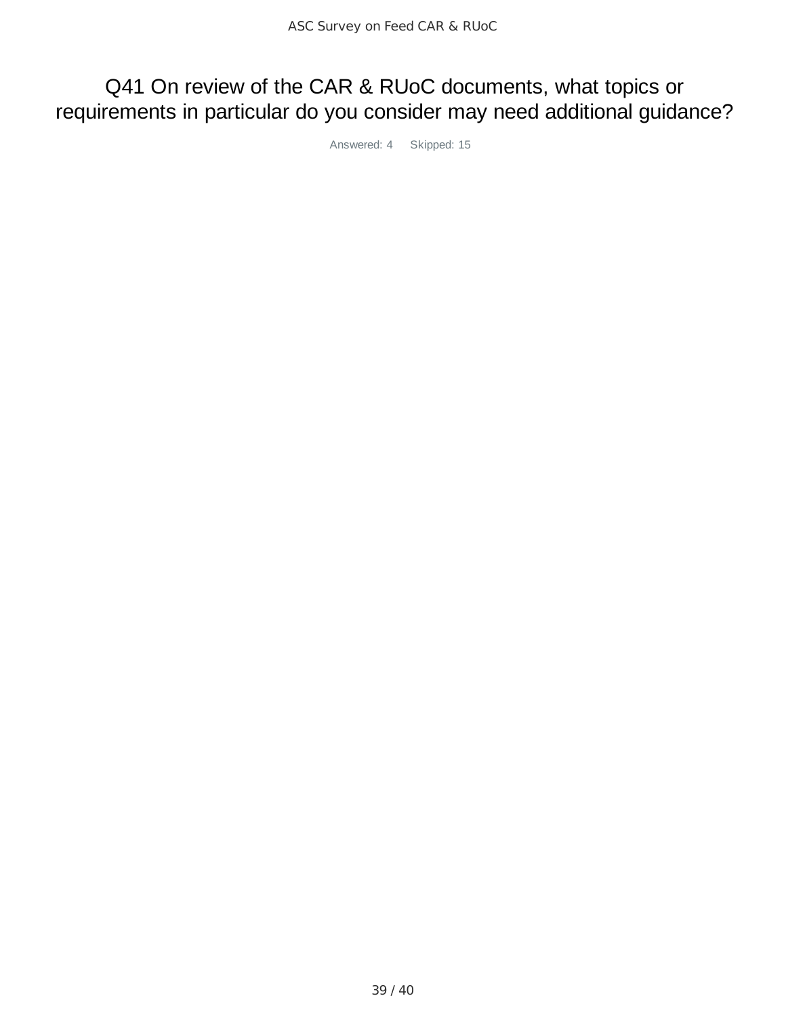# Q41 On review of the CAR & RUoC documents, what topics or requirements in particular do you consider may need additional guidance?

Answered: 4 Skipped: 15